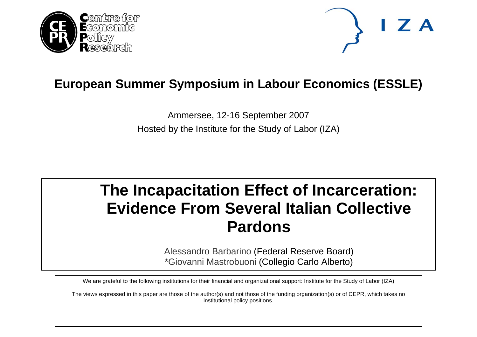



# **European Summer Symposium in Labour Economics (ESSLE)**

Ammersee, 12-16 September 2007 Hosted by the Institute for the Study of Labor (IZA)

# **The Incapacitation Effect of Incarceration: Evidence From Several Italian Collective Pardons**

Alessandro Barbarino (Federal Reserve Board) \*Giovanni Mastrobuoni (Collegio Carlo Alberto)

We are grateful to the following institutions for their financial and organizational support: Institute for the Study of Labor (IZA)

The views expressed in this paper are those of the author(s) and not those of the funding organization(s) or of CEPR, which takes no institutional policy positions.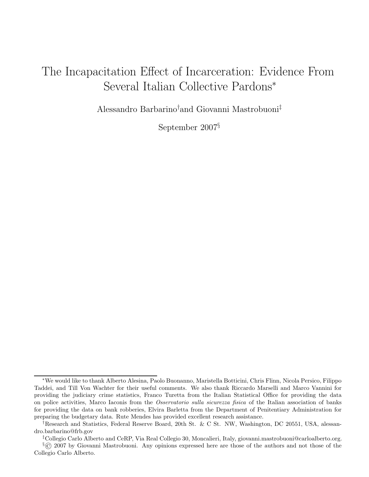## The Incapacitation Effect of Incarceration: Evidence From Several Italian Collective Pardons<sup>∗</sup>

Alessandro Barbarino†and Giovanni Mastrobuoni‡

September 2007§

<sup>∗</sup>We would like to thank Alberto Alesina, Paolo Buonanno, Maristella Botticini, Chris Flinn, Nicola Persico, Filippo Taddei, and Till Von Wachter for their useful comments. We also thank Riccardo Marselli and Marco Vannini for providing the judiciary crime statistics, Franco Turetta from the Italian Statistical Office for providing the data on police activities, Marco Iaconis from the Osservatorio sulla sicurezza fisica of the Italian association of banks for providing the data on bank robberies, Elvira Barletta from the Department of Penitentiary Administration for preparing the budgetary data. Rute Mendes has provided excellent research assistance.

<sup>†</sup>Research and Statistics, Federal Reserve Board, 20th St. & C St. NW, Washington, DC 20551, USA, alessandro.barbarino@frb.gov

<sup>‡</sup>Collegio Carlo Alberto and CeRP, Via Real Collegio 30, Moncalieri, Italy, giovanni.mastrobuoni@carloalberto.org.

<sup>§</sup>© 2007 by Giovanni Mastrobuoni. Any opinions expressed here are those of the authors and not those of the Collegio Carlo Alberto.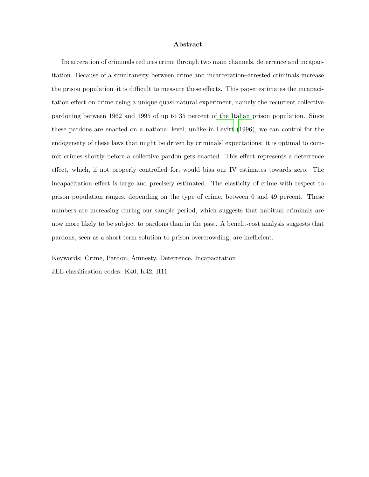#### Abstract

Incarceration of criminals reduces crime through two main channels, deterrence and incapacitation. Because of a simultaneity between crime and incarceration–arrested criminals increase the prison population–it is difficult to measure these effects. This paper estimates the incapacitation effect on crime using a unique quasi-natural experiment, namely the recurrent collective pardoning between 1962 and 1995 of up to 35 percent of the Italian prison population. Since these pardons are enacted on a national level, unlike in [Levitt \(1996](#page-26-0)), we can control for the endogeneity of these laws that might be driven by criminals' expectations: it is optimal to commit crimes shortly before a collective pardon gets enacted. This effect represents a deterrence effect, which, if not properly controlled for, would bias our IV estimates towards zero. The incapacitation effect is large and precisely estimated. The elasticity of crime with respect to prison population ranges, depending on the type of crime, between 0 and 49 percent. These numbers are increasing during our sample period, which suggests that habitual criminals are now more likely to be subject to pardons than in the past. A benefit-cost analysis suggests that pardons, seen as a short term solution to prison overcrowding, are inefficient.

Keywords: Crime, Pardon, Amnesty, Deterrence, Incapacitation

JEL classification codes: K40, K42, H11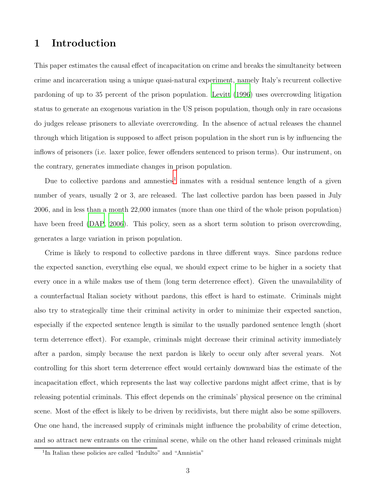## 1 Introduction

This paper estimates the causal effect of incapacitation on crime and breaks the simultaneity between crime and incarceration using a unique quasi-natural experiment, namely Italy's recurrent collective pardoning of up to 35 percent of the prison population. [Levitt \(1996](#page-26-0)) uses overcrowding litigation status to generate an exogenous variation in the US prison population, though only in rare occasions do judges release prisoners to alleviate overcrowding. In the absence of actual releases the channel through which litigation is supposed to affect prison population in the short run is by influencing the inflows of prisoners (i.e. laxer police, fewer offenders sentenced to prison terms). Our instrument, on the contrary, generates immediate changes in prison population.

Due to collective pardons and amnesties<sup>1</sup> inmates with a residual sentence length of a given number of years, usually 2 or 3, are released. The last collective pardon has been passed in July 2006, and in less than a month 22,000 inmates (more than one third of the whole prison population) have been freed [\(DAP](#page-25-0), [2006\)](#page-25-0). This policy, seen as a short term solution to prison overcrowding, generates a large variation in prison population.

Crime is likely to respond to collective pardons in three different ways. Since pardons reduce the expected sanction, everything else equal, we should expect crime to be higher in a society that every once in a while makes use of them (long term deterrence effect). Given the unavailability of a counterfactual Italian society without pardons, this effect is hard to estimate. Criminals might also try to strategically time their criminal activity in order to minimize their expected sanction, especially if the expected sentence length is similar to the usually pardoned sentence length (short term deterrence effect). For example, criminals might decrease their criminal activity immediately after a pardon, simply because the next pardon is likely to occur only after several years. Not controlling for this short term deterrence effect would certainly downward bias the estimate of the incapacitation effect, which represents the last way collective pardons might affect crime, that is by releasing potential criminals. This effect depends on the criminals' physical presence on the criminal scene. Most of the effect is likely to be driven by recidivists, but there might also be some spillovers. One one hand, the increased supply of criminals might influence the probability of crime detection, and so attract new entrants on the criminal scene, while on the other hand released criminals might

<sup>&</sup>lt;sup>1</sup>In Italian these policies are called "Indulto" and "Amnistia"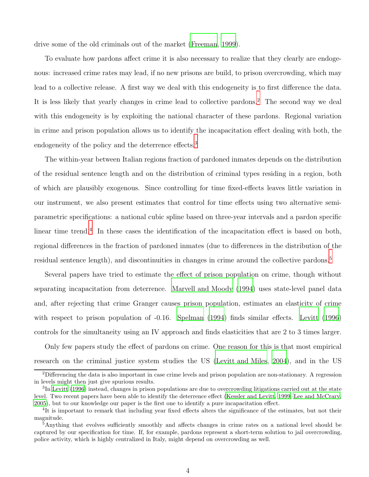drive some of the old criminals out of the market [\(Freeman, 1999](#page-25-1)).

To evaluate how pardons affect crime it is also necessary to realize that they clearly are endogenous: increased crime rates may lead, if no new prisons are build, to prison overcrowding, which may lead to a collective release. A first way we deal with this endogeneity is to first difference the data. It is less likely that yearly changes in crime lead to collective pardons.<sup>2</sup> The second way we deal with this endogeneity is by exploiting the national character of these pardons. Regional variation in crime and prison population allows us to identify the incapacitation effect dealing with both, the endogeneity of the policy and the deterrence effects.<sup>3</sup>

The within-year between Italian regions fraction of pardoned inmates depends on the distribution of the residual sentence length and on the distribution of criminal types residing in a region, both of which are plausibly exogenous. Since controlling for time fixed-effects leaves little variation in our instrument, we also present estimates that control for time effects using two alternative semiparametric specifications: a national cubic spline based on three-year intervals and a pardon specific linear time trend.<sup>4</sup> In these cases the identification of the incapacitation effect is based on both, regional differences in the fraction of pardoned inmates (due to differences in the distribution of the residual sentence length), and discontinuities in changes in crime around the collective pardons.<sup>5</sup>

Several papers have tried to estimate the effect of prison population on crime, though without separating incapacitation from deterrence. [Marvell and Moody \(1994\)](#page-26-1) uses state-level panel data and, after rejecting that crime Granger causes prison population, estimates an elasticity of crime with respect to prison population of  $-0.16$ . [Spelman \(1994\)](#page-27-0) finds similar effects. [Levitt \(1996](#page-26-0)) controls for the simultaneity using an IV approach and finds elasticities that are 2 to 3 times larger.

Only few papers study the effect of pardons on crime. One reason for this is that most empirical research on the criminal justice system studies the US [\(Levitt and Miles](#page-26-2), [2004\)](#page-26-2), and in the US

<sup>2</sup>Differencing the data is also important in case crime levels and prison population are non-stationary. A regression in levels might then just give spurious results.

<sup>&</sup>lt;sup>3</sup>In [Levitt \(1996\)](#page-26-0) instead, changes in prison populations are due to overcrowding litigations carried out at the state level. Two recent papers have been able to identify the deterrence effect [\(Kessler and Levitt, 1999,](#page-25-2) [Lee and McCrary](#page-26-3), [2005\)](#page-26-3), but to our knowledge our paper is the first one to identify a pure incapacitation effect.

<sup>&</sup>lt;sup>4</sup>It is important to remark that including year fixed effects alters the significance of the estimates, but not their magnitude.

<sup>&</sup>lt;sup>5</sup>Anything that evolves sufficiently smoothly and affects changes in crime rates on a national level should be captured by our specification for time. If, for example, pardons represent a short-term solution to jail overcrowding, police activity, which is highly centralized in Italy, might depend on overcrowding as well.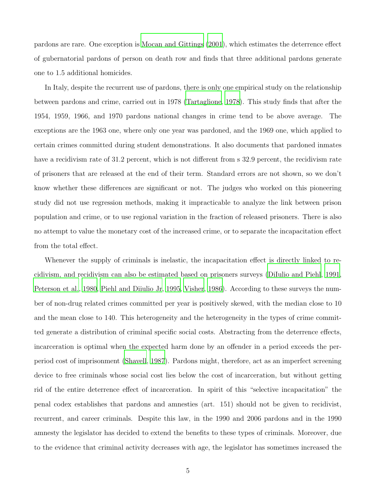pardons are rare. One exception is [Mocan and Gittings \(2001](#page-26-4)), which estimates the deterrence effect of gubernatorial pardons of person on death row and finds that three additional pardons generate one to 1.5 additional homicides.

In Italy, despite the recurrent use of pardons, there is only one empirical study on the relationship between pardons and crime, carried out in 1978 [\(Tartaglione](#page-27-1), [1978\)](#page-27-1). This study finds that after the 1954, 1959, 1966, and 1970 pardons national changes in crime tend to be above average. The exceptions are the 1963 one, where only one year was pardoned, and the 1969 one, which applied to certain crimes committed during student demonstrations. It also documents that pardoned inmates have a recidivism rate of 31.2 percent, which is not different from s 32.9 percent, the recidivism rate of prisoners that are released at the end of their term. Standard errors are not shown, so we don't know whether these differences are significant or not. The judges who worked on this pioneering study did not use regression methods, making it impracticable to analyze the link between prison population and crime, or to use regional variation in the fraction of released prisoners. There is also no attempt to value the monetary cost of the increased crime, or to separate the incapacitation effect from the total effect.

Whenever the supply of criminals is inelastic, the incapacitation effect is directly linked to recidivism, and recidivism can also be estimated based on prisoners surveys [\(DiIulio and Piehl, 1991,](#page-25-3) [Peterson et al., 1980,](#page-26-5) [Piehl and Diiulio Jr](#page-26-6), [1995](#page-26-6), [Visher, 1986\)](#page-27-2). According to these surveys the number of non-drug related crimes committed per year is positively skewed, with the median close to 10 and the mean close to 140. This heterogeneity and the heterogeneity in the types of crime committed generate a distribution of criminal specific social costs. Abstracting from the deterrence effects, incarceration is optimal when the expected harm done by an offender in a period exceeds the perperiod cost of imprisonment [\(Shavell](#page-27-3), [1987\)](#page-27-3). Pardons might, therefore, act as an imperfect screening device to free criminals whose social cost lies below the cost of incarceration, but without getting rid of the entire deterrence effect of incarceration. In spirit of this "selective incapacitation" the penal codex establishes that pardons and amnesties (art. 151) should not be given to recidivist, recurrent, and career criminals. Despite this law, in the 1990 and 2006 pardons and in the 1990 amnesty the legislator has decided to extend the benefits to these types of criminals. Moreover, due to the evidence that criminal activity decreases with age, the legislator has sometimes increased the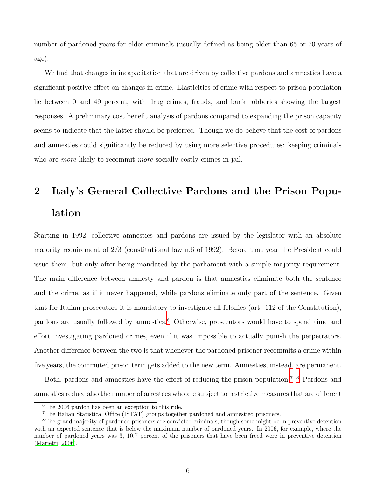number of pardoned years for older criminals (usually defined as being older than 65 or 70 years of age).

We find that changes in incapacitation that are driven by collective pardons and amnesties have a significant positive effect on changes in crime. Elasticities of crime with respect to prison population lie between 0 and 49 percent, with drug crimes, frauds, and bank robberies showing the largest responses. A preliminary cost benefit analysis of pardons compared to expanding the prison capacity seems to indicate that the latter should be preferred. Though we do believe that the cost of pardons and amnesties could significantly be reduced by using more selective procedures: keeping criminals who are *more* likely to recommit *more* socially costly crimes in jail.

# 2 Italy's General Collective Pardons and the Prison Population

Starting in 1992, collective amnesties and pardons are issued by the legislator with an absolute majority requirement of 2/3 (constitutional law n.6 of 1992). Before that year the President could issue them, but only after being mandated by the parliament with a simple majority requirement. The main difference between amnesty and pardon is that amnesties eliminate both the sentence and the crime, as if it never happened, while pardons eliminate only part of the sentence. Given that for Italian prosecutors it is mandatory to investigate all felonies (art. 112 of the Constitution), pardons are usually followed by amnesties.<sup>6</sup> Otherwise, prosecutors would have to spend time and effort investigating pardoned crimes, even if it was impossible to actually punish the perpetrators. Another difference between the two is that whenever the pardoned prisoner recommits a crime within five years, the commuted prison term gets added to the new term. Amnesties, instead, are permanent.

Both, pardons and amnesties have the effect of reducing the prison population.7 8 Pardons and amnesties reduce also the number of arrestees who are subject to restrictive measures that are different

<sup>6</sup>The 2006 pardon has been an exception to this rule.

<sup>7</sup>The Italian Statistical Office (ISTAT) groups together pardoned and amnestied prisoners.

<sup>&</sup>lt;sup>8</sup>The grand majority of pardoned prisoners are convicted criminals, though some might be in preventive detention with an expected sentence that is below the maximum number of pardoned years. In 2006, for example, where the number of pardoned years was 3, 10.7 percent of the prisoners that have been freed were in preventive detention [\(Marietti](#page-26-7), [2006\)](#page-26-7).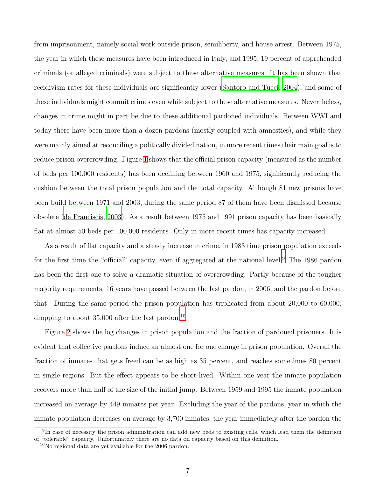from imprisonment, namely social work outside prison, semiliberty, and house arrest. Between 1975, the year in which these measures have been introduced in Italy, and 1995, 19 percent of apprehended criminals (or alleged criminals) were subject to these alternative measures. It has been shown that recidivism rates for these individuals are significantly lower [\(Santoro and Tucci](#page-26-8), [2004](#page-26-8)), and some of these individuals might commit crimes even while subject to these alternative measures. Nevertheless, changes in crime might in part be due to these additional pardoned individuals. Between WWI and today there have been more than a dozen pardons (mostly coupled with amnesties), and while they were mainly aimed at reconciling a politically divided nation, in more recent times their main goal is to reduce prison overcrowding. Figure [1](#page-8-0) shows that the official prison capacity (measured as the number of beds per 100,000 residents) has been declining between 1960 and 1975, significantly reducing the cushion between the total prison population and the total capacity. Although 81 new prisons have been build between 1971 and 2003, during the same period 87 of them have been dismissed because obsolete [\(de Franciscis](#page-25-4), [2003\)](#page-25-4). As a result between 1975 and 1991 prison capacity has been basically flat at almost 50 beds per 100,000 residents. Only in more recent times has capacity increased.

As a result of flat capacity and a steady increase in crime, in 1983 time prison population exceeds for the first time the "official" capacity, even if aggregated at the national level.<sup>9</sup> The 1986 pardon has been the first one to solve a dramatic situation of overcrowding. Partly because of the tougher majority requirements, 16 years have passed between the last pardon, in 2006, and the pardon before that. During the same period the prison population has triplicated from about 20,000 to 60,000, dropping to about  $35,000$  after the last pardon.<sup>10</sup>

Figure [2](#page-9-0) shows the log changes in prison population and the fraction of pardoned prisoners. It is evident that collective pardons induce an almost one for one change in prison population. Overall the fraction of inmates that gets freed can be as high as 35 percent, and reaches sometimes 80 percent in single regions. But the effect appears to be short-lived. Within one year the inmate population recovers more than half of the size of the initial jump. Between 1959 and 1995 the inmate population increased on average by 449 inmates per year. Excluding the year of the pardons, year in which the inmate population decreases on average by 3,700 inmates, the year immediately after the pardon the

<sup>&</sup>lt;sup>9</sup>In case of necessity the prison administration can add new beds to existing cells, which lead them the definition of "tolerable" capacity. Unfortunately there are no data on capacity based on this definition.

<sup>10</sup>No regional data are yet available for the 2006 pardon.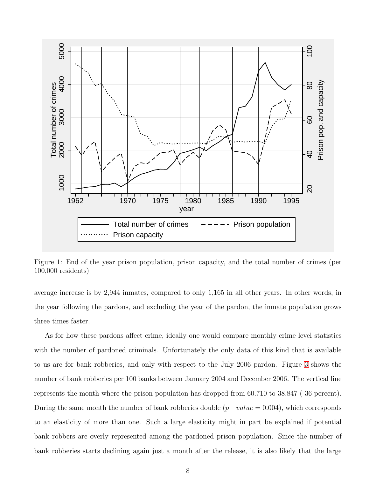

<span id="page-8-0"></span>Figure 1: End of the year prison population, prison capacity, and the total number of crimes (per 100,000 residents)

average increase is by 2,944 inmates, compared to only 1,165 in all other years. In other words, in the year following the pardons, and excluding the year of the pardon, the inmate population grows three times faster.

As for how these pardons affect crime, ideally one would compare monthly crime level statistics with the number of pardoned criminals. Unfortunately the only data of this kind that is available to us are for bank robberies, and only with respect to the July 2006 pardon. Figure [3](#page-10-0) shows the number of bank robberies per 100 banks between January 2004 and December 2006. The vertical line represents the month where the prison population has dropped from 60.710 to 38.847 (-36 percent). During the same month the number of bank robberies double  $(p-value = 0.004)$ , which corresponds to an elasticity of more than one. Such a large elasticity might in part be explained if potential bank robbers are overly represented among the pardoned prison population. Since the number of bank robberies starts declining again just a month after the release, it is also likely that the large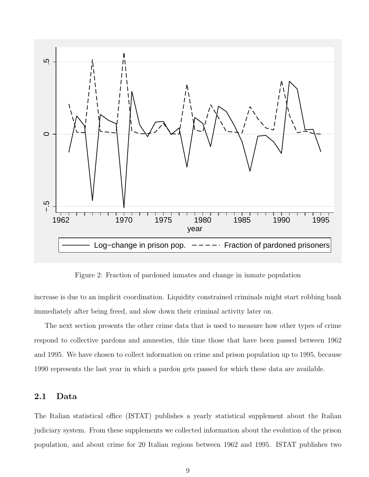

<span id="page-9-0"></span>Figure 2: Fraction of pardoned inmates and change in inmate population

increase is due to an implicit coordination. Liquidity constrained criminals might start robbing bank immediately after being freed, and slow down their criminal activity later on.

The next section presents the other crime data that is used to measure how other types of crime respond to collective pardons and amnesties, this time those that have been passed between 1962 and 1995. We have chosen to collect information on crime and prison population up to 1995, because 1990 represents the last year in which a pardon gets passed for which these data are available.

### 2.1 Data

The Italian statistical office (ISTAT) publishes a yearly statistical supplement about the Italian judiciary system. From these supplements we collected information about the evolution of the prison population, and about crime for 20 Italian regions between 1962 and 1995. ISTAT publishes two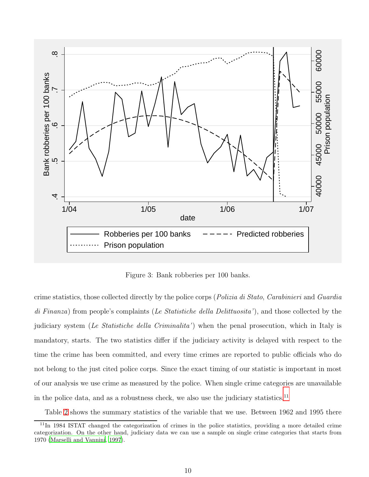

<span id="page-10-0"></span>Figure 3: Bank robberies per 100 banks.

crime statistics, those collected directly by the police corps (Polizia di Stato, Carabinieri and Guardia di Finanza) from people's complaints (Le Statistiche della Delittuosita'), and those collected by the judiciary system (Le Statistiche della Criminalita') when the penal prosecution, which in Italy is mandatory, starts. The two statistics differ if the judiciary activity is delayed with respect to the time the crime has been committed, and every time crimes are reported to public officials who do not belong to the just cited police corps. Since the exact timing of our statistic is important in most of our analysis we use crime as measured by the police. When single crime categories are unavailable in the police data, and as a robustness check, we also use the judiciary statistics.<sup>11</sup>

Table [2](#page-32-0) shows the summary statistics of the variable that we use. Between 1962 and 1995 there

<sup>11</sup>In 1984 ISTAT changed the categorization of crimes in the police statistics, providing a more detailed crime categorization. On the other hand, judiciary data we can use a sample on single crime categories that starts from 1970 [\(Marselli and Vannini, 1997](#page-26-9)).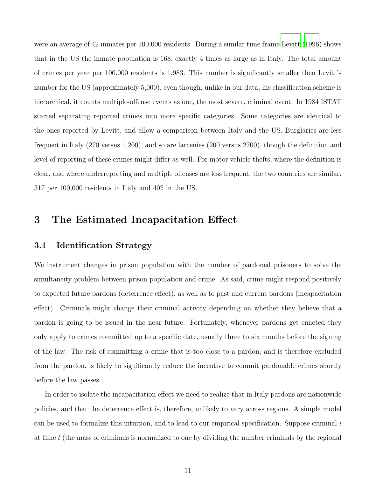were an average of 42 inmates per 100,000 residents. During a similar time frame [Levitt \(1996\)](#page-26-0) shows that in the US the inmate population is 168, exactly 4 times as large as in Italy. The total amount of crimes per year per 100,000 residents is 1,983. This number is significantly smaller then Levitt's number for the US (approximately 5,000), even though, unlike in our data, his classification scheme is hierarchical, it counts multiple-offense events as one, the most severe, criminal event. In 1984 ISTAT started separating reported crimes into more specific categories. Some categories are identical to the ones reported by Levitt, and allow a comparison between Italy and the US. Burglaries are less frequent in Italy (270 versus 1,200), and so are larcenies (200 versus 2700), though the definition and level of reporting of these crimes might differ as well. For motor vehicle thefts, where the definition is clear, and where underreporting and multiple offenses are less frequent, the two countries are similar: 317 per 100,000 residents in Italy and 402 in the US.

## 3 The Estimated Incapacitation Effect

### 3.1 Identification Strategy

We instrument changes in prison population with the number of pardoned prisoners to solve the simultaneity problem between prison population and crime. As said, crime might respond positively to expected future pardons (deterrence effect), as well as to past and current pardons (incapacitation effect). Criminals might change their criminal activity depending on whether they believe that a pardon is going to be issued in the near future. Fortunately, whenever pardons get enacted they only apply to crimes committed up to a specific date, usually three to six months before the signing of the law. The risk of committing a crime that is too close to a pardon, and is therefore excluded from the pardon, is likely to significantly reduce the incentive to commit pardonable crimes shortly before the law passes.

In order to isolate the incapacitation effect we need to realize that in Italy pardons are nationwide policies, and that the deterrence effect is, therefore, unlikely to vary across regions. A simple model can be used to formalize this intuition, and to lead to our empirical specification. Suppose criminal i at time t (the mass of criminals is normalized to one by dividing the number criminals by the regional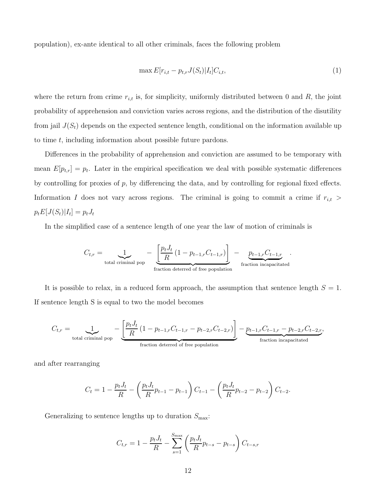population), ex-ante identical to all other criminals, faces the following problem

$$
\max E[r_{i,t} - p_{t,r}J(S_t)|I_t]C_{i,t},\tag{1}
$$

where the return from crime  $r_{i,t}$  is, for simplicity, uniformly distributed between 0 and R, the joint probability of apprehension and conviction varies across regions, and the distribution of the disutility from jail  $J(S_t)$  depends on the expected sentence length, conditional on the information available up to time t, including information about possible future pardons.

Differences in the probability of apprehension and conviction are assumed to be temporary with mean  $E[p_{t,r}] = p_t$ . Later in the empirical specification we deal with possible systematic differences by controlling for proxies of  $p$ , by differencing the data, and by controlling for regional fixed effects. Information I does not vary across regions. The criminal is going to commit a crime if  $r_{i,t}$  >  $p_t E[J(S_t)|I_t] = p_t J_t$ 

In the simplified case of a sentence length of one year the law of motion of criminals is

$$
C_{t,r} = \underbrace{1}_{\text{total criminal pop}} - \underbrace{\left[\frac{p_t J_t}{R} (1 - p_{t-1,r} C_{t-1,r})\right]}_{\text{fraction determined of free population}} - \underbrace{p_{t-1,r} C_{t-1,r}}_{\text{fraction incapacitated}}.
$$

It is possible to relax, in a reduced form approach, the assumption that sentence length  $S = 1$ . If sentence length S is equal to two the model becomes

$$
C_{t,r} = \underbrace{1}_{\text{total criminal pop}} - \underbrace{\left[\frac{p_t J_t}{R} \left(1 - p_{t-1,r} C_{t-1,r} - p_{t-2,r} C_{t-2,r}\right)\right]}_{\text{fraction determined of free population}} - \underbrace{p_{t-1,r} C_{t-1,r} - p_{t-2,r} C_{t-2,r}}_{\text{fraction incapacitated}},
$$

and after rearranging

$$
C_t = 1 - \frac{p_t J_t}{R} - \left(\frac{p_t J_t}{R} p_{t-1} - p_{t-1}\right) C_{t-1} - \left(\frac{p_t J_t}{R} p_{t-2} - p_{t-2}\right) C_{t-2}.
$$

Generalizing to sentence lengths up to duration  $S_{\text{max}}$ :

$$
C_{t,r} = 1 - \frac{p_t J_t}{R} - \sum_{s=1}^{S_{\text{max}}} \left( \frac{p_t J_t}{R} p_{t-s} - p_{t-s} \right) C_{t-s,r}
$$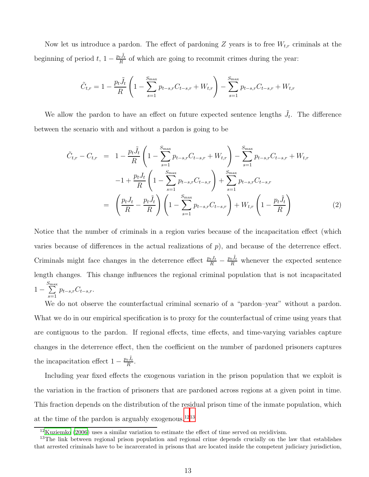Now let us introduce a pardon. The effect of pardoning Z years is to free  $W_{t,r}$  criminals at the beginning of period  $t, 1 - \frac{p_t \tilde{J}_t}{R}$  $\frac{t^{J}t}{R}$  of which are going to recommit crimes during the year:

$$
\tilde{C}_{t,r} = 1 - \frac{p_t \tilde{J}_t}{R} \left( 1 - \sum_{s=1}^{S_{\text{max}}} p_{t-s,r} C_{t-s,r} + W_{t,r} \right) - \sum_{s=1}^{S_{\text{max}}} p_{t-s,r} C_{t-s,r} + W_{t,r}
$$

We allow the pardon to have an effect on future expected sentence lengths  $\tilde{J}_t$ . The difference between the scenario with and without a pardon is going to be

<span id="page-13-0"></span>
$$
\tilde{C}_{t,r} - C_{t,r} = 1 - \frac{p_t \tilde{J}_t}{R} \left( 1 - \sum_{s=1}^{S_{\text{max}}} p_{t-s,r} C_{t-s,r} + W_{t,r} \right) - \sum_{s=1}^{S_{\text{max}}} p_{t-s,r} C_{t-s,r} + W_{t,r}
$$
\n
$$
-1 + \frac{p_t J_t}{R} \left( 1 - \sum_{s=1}^{S_{\text{max}}} p_{t-s,r} C_{t-s,r} \right) + \sum_{s=1}^{S_{\text{max}}} p_{t-s,r} C_{t-s,r}
$$
\n
$$
= \left( \frac{p_t J_t}{R} - \frac{p_t \tilde{J}_t}{R} \right) \left( 1 - \sum_{s=1}^{S_{\text{max}}} p_{t-s,r} C_{t-s,r} \right) + W_{t,r} \left( 1 - \frac{p_t \tilde{J}_t}{R} \right) \tag{2}
$$

Notice that the number of criminals in a region varies because of the incapacitation effect (which varies because of differences in the actual realizations of  $p$ ), and because of the deterrence effect. Criminals might face changes in the deterrence effect  $\frac{p_tJ_t}{R} - \frac{p_tJ_t}{R}$  whenever the expected sentence length changes. This change influences the regional criminal population that is not incapacitated 1 −  $\sum_{ }^{ S_{ \max} }$  $s=1$  $p_{t-s,r}C_{t-s,r}.$ 

We do not observe the counterfactual criminal scenario of a "pardon-year" without a pardon. What we do in our empirical specification is to proxy for the counterfactual of crime using years that are contiguous to the pardon. If regional effects, time effects, and time-varying variables capture changes in the deterrence effect, then the coefficient on the number of pardoned prisoners captures the incapacitation effect  $1 - \frac{p_t \tilde{J}_t}{R}$  $\frac{tJt}{R}$ .

Including year fixed effects the exogenous variation in the prison population that we exploit is the variation in the fraction of prisoners that are pardoned across regions at a given point in time. This fraction depends on the distribution of the residual prison time of the inmate population, which at the time of the pardon is arguably exogenous.<sup>1213</sup>

 $12$ [Kuziemko \(2006\)](#page-25-5) uses a similar variation to estimate the effect of time served on recidivism.

<sup>&</sup>lt;sup>13</sup>The link between regional prison population and regional crime depends crucially on the law that establishes that arrested criminals have to be incarcerated in prisons that are located inside the competent judiciary jurisdiction,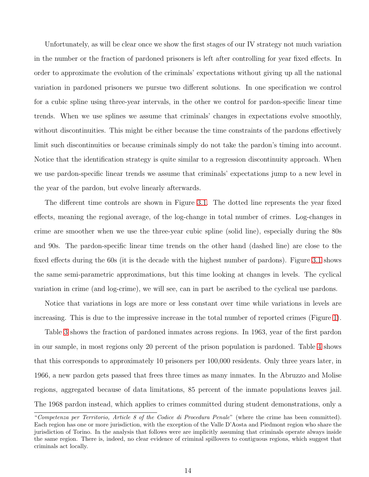Unfortunately, as will be clear once we show the first stages of our IV strategy not much variation in the number or the fraction of pardoned prisoners is left after controlling for year fixed effects. In order to approximate the evolution of the criminals' expectations without giving up all the national variation in pardoned prisoners we pursue two different solutions. In one specification we control for a cubic spline using three-year intervals, in the other we control for pardon-specific linear time trends. When we use splines we assume that criminals' changes in expectations evolve smoothly, without discontinuities. This might be either because the time constraints of the pardons effectively limit such discontinuities or because criminals simply do not take the pardon's timing into account. Notice that the identification strategy is quite similar to a regression discontinuity approach. When we use pardon-specific linear trends we assume that criminals' expectations jump to a new level in the year of the pardon, but evolve linearly afterwards.

The different time controls are shown in Figure [3.1.](#page-13-0) The dotted line represents the year fixed effects, meaning the regional average, of the log-change in total number of crimes. Log-changes in crime are smoother when we use the three-year cubic spline (solid line), especially during the 80s and 90s. The pardon-specific linear time trends on the other hand (dashed line) are close to the fixed effects during the 60s (it is the decade with the highest number of pardons). Figure [3.1](#page-15-0) shows the same semi-parametric approximations, but this time looking at changes in levels. The cyclical variation in crime (and log-crime), we will see, can in part be ascribed to the cyclical use pardons.

Notice that variations in logs are more or less constant over time while variations in levels are increasing. This is due to the impressive increase in the total number of reported crimes (Figure [1\)](#page-8-0).

Table [3](#page-33-0) shows the fraction of pardoned inmates across regions. In 1963, year of the first pardon in our sample, in most regions only 20 percent of the prison population is pardoned. Table [4](#page-33-1) shows that this corresponds to approximately 10 prisoners per 100,000 residents. Only three years later, in 1966, a new pardon gets passed that frees three times as many inmates. In the Abruzzo and Molise regions, aggregated because of data limitations, 85 percent of the inmate populations leaves jail. The 1968 pardon instead, which applies to crimes committed during student demonstrations, only a

<sup>&</sup>quot;Competenza per Territorio, Article 8 of the Codice di Procedura Penale" (where the crime has been committed). Each region has one or more jurisdiction, with the exception of the Valle D'Aosta and Piedmont region who share the jurisdiction of Torino. In the analysis that follows were are implicitly assuming that criminals operate always inside the same region. There is, indeed, no clear evidence of criminal spillovers to contiguous regions, which suggest that criminals act locally.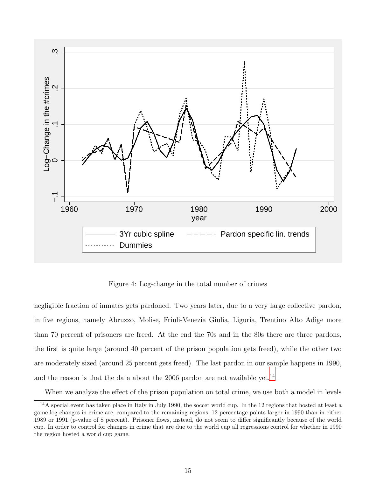

<span id="page-15-0"></span>Figure 4: Log-change in the total number of crimes

negligible fraction of inmates gets pardoned. Two years later, due to a very large collective pardon, in five regions, namely Abruzzo, Molise, Friuli-Venezia Giulia, Liguria, Trentino Alto Adige more than 70 percent of prisoners are freed. At the end the 70s and in the 80s there are three pardons, the first is quite large (around 40 percent of the prison population gets freed), while the other two are moderately sized (around 25 percent gets freed). The last pardon in our sample happens in 1990, and the reason is that the data about the 2006 pardon are not available yet.<sup>14</sup>

When we analyze the effect of the prison population on total crime, we use both a model in levels

 $14A$  special event has taken place in Italy in July 1990, the soccer world cup. In the 12 regions that hosted at least a game log changes in crime are, compared to the remaining regions, 12 percentage points larger in 1990 than in either 1989 or 1991 (p-value of 8 percent). Prisoner flows, instead, do not seem to differ significantly because of the world cup. In order to control for changes in crime that are due to the world cup all regressions control for whether in 1990 the region hosted a world cup game.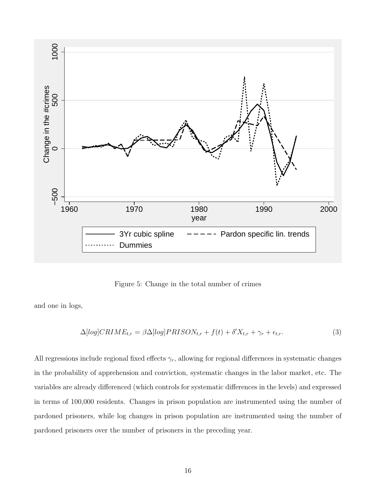

Figure 5: Change in the total number of crimes

and one in logs,

$$
\Delta [log] CRIME_{t,r} = \beta \Delta [log] PRISON_{t,r} + f(t) + \delta' X_{t,r} + \gamma_r + \epsilon_{t,r}.
$$
\n(3)

All regressions include regional fixed effects  $\gamma_r$ , allowing for regional differences in systematic changes in the probability of apprehension and conviction, systematic changes in the labor market, etc. The variables are already differenced (which controls for systematic differences in the levels) and expressed in terms of 100,000 residents. Changes in prison population are instrumented using the number of pardoned prisoners, while log changes in prison population are instrumented using the number of pardoned prisoners over the number of prisoners in the preceding year.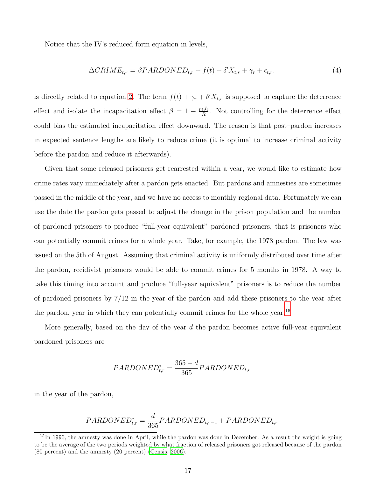Notice that the IV's reduced form equation in levels,

$$
\Delta CRIME_{t,r} = \beta PARDONED_{t,r} + f(t) + \delta'X_{t,r} + \gamma_r + \epsilon_{t,r}.
$$
\n(4)

is directly related to equation [2.](#page-13-0) The term  $f(t) + \gamma_r + \delta' X_{t,r}$  is supposed to capture the deterrence effect and isolate the incapacitation effect  $\beta = 1 - \frac{p_t \tilde{J}_t}{R}$  $\frac{tJ_t}{R}$ . Not controlling for the deterrence effect could bias the estimated incapacitation effect downward. The reason is that post–pardon increases in expected sentence lengths are likely to reduce crime (it is optimal to increase criminal activity before the pardon and reduce it afterwards).

Given that some released prisoners get rearrested within a year, we would like to estimate how crime rates vary immediately after a pardon gets enacted. But pardons and amnesties are sometimes passed in the middle of the year, and we have no access to monthly regional data. Fortunately we can use the date the pardon gets passed to adjust the change in the prison population and the number of pardoned prisoners to produce "full-year equivalent" pardoned prisoners, that is prisoners who can potentially commit crimes for a whole year. Take, for example, the 1978 pardon. The law was issued on the 5th of August. Assuming that criminal activity is uniformly distributed over time after the pardon, recidivist prisoners would be able to commit crimes for 5 months in 1978. A way to take this timing into account and produce "full-year equivalent" prisoners is to reduce the number of pardoned prisoners by 7/12 in the year of the pardon and add these prisoners to the year after the pardon, year in which they can potentially commit crimes for the whole year.<sup>15</sup>

More generally, based on the day of the year  $d$  the pardon becomes active full-year equivalent pardoned prisoners are

$$
PARDONED_{t,r}^{*} = \frac{365 - d}{365} PARDONED_{t,r}
$$

in the year of the pardon,

$$
PARDONED_{t,r}^{*} = \frac{d}{365} PARDONED_{t,r-1} + PARDONED_{t,r}
$$

 $15$ In 1990, the amnesty was done in April, while the pardon was done in December. As a result the weight is going to be the average of the two periods weighted by what fraction of released prisoners got released because of the pardon (80 percent) and the amnesty (20 percent) [\(Censis](#page-25-6), [2006](#page-25-6)).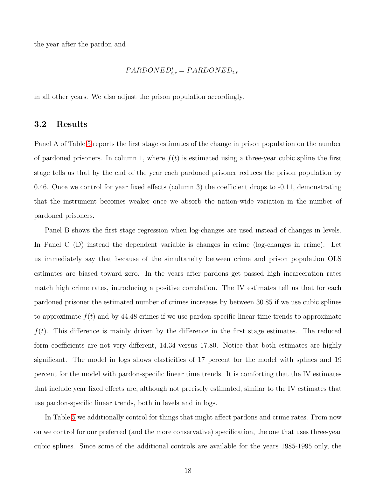the year after the pardon and

$$
PARDONED^*_{t,r} = PARDONED_{t,r}
$$

in all other years. We also adjust the prison population accordingly.

### 3.2 Results

Panel A of Table [5](#page-33-1) reports the first stage estimates of the change in prison population on the number of pardoned prisoners. In column 1, where  $f(t)$  is estimated using a three-year cubic spline the first stage tells us that by the end of the year each pardoned prisoner reduces the prison population by 0.46. Once we control for year fixed effects (column 3) the coefficient drops to -0.11, demonstrating that the instrument becomes weaker once we absorb the nation-wide variation in the number of pardoned prisoners.

Panel B shows the first stage regression when log-changes are used instead of changes in levels. In Panel C (D) instead the dependent variable is changes in crime (log-changes in crime). Let us immediately say that because of the simultaneity between crime and prison population OLS estimates are biased toward zero. In the years after pardons get passed high incarceration rates match high crime rates, introducing a positive correlation. The IV estimates tell us that for each pardoned prisoner the estimated number of crimes increases by between 30.85 if we use cubic splines to approximate  $f(t)$  and by 44.48 crimes if we use pardon-specific linear time trends to approximate  $f(t)$ . This difference is mainly driven by the difference in the first stage estimates. The reduced form coefficients are not very different, 14.34 versus 17.80. Notice that both estimates are highly significant. The model in logs shows elasticities of 17 percent for the model with splines and 19 percent for the model with pardon-specific linear time trends. It is comforting that the IV estimates that include year fixed effects are, although not precisely estimated, similar to the IV estimates that use pardon-specific linear trends, both in levels and in logs.

In Table [5](#page-34-0) we additionally control for things that might affect pardons and crime rates. From now on we control for our preferred (and the more conservative) specification, the one that uses three-year cubic splines. Since some of the additional controls are available for the years 1985-1995 only, the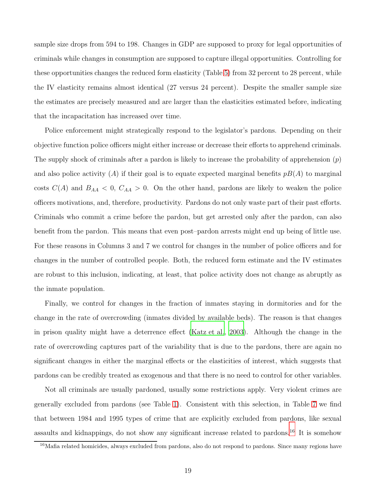sample size drops from 594 to 198. Changes in GDP are supposed to proxy for legal opportunities of criminals while changes in consumption are supposed to capture illegal opportunities. Controlling for these opportunities changes the reduced form elasticity (Table [5\)](#page-34-0) from 32 percent to 28 percent, while the IV elasticity remains almost identical (27 versus 24 percent). Despite the smaller sample size the estimates are precisely measured and are larger than the elasticities estimated before, indicating that the incapacitation has increased over time.

Police enforcement might strategically respond to the legislator's pardons. Depending on their objective function police officers might either increase or decrease their efforts to apprehend criminals. The supply shock of criminals after a pardon is likely to increase the probability of apprehension  $(p)$ and also police activity (A) if their goal is to equate expected marginal benefits  $pB(A)$  to marginal costs  $C(A)$  and  $B_{AA} < 0$ ,  $C_{AA} > 0$ . On the other hand, pardons are likely to weaken the police officers motivations, and, therefore, productivity. Pardons do not only waste part of their past efforts. Criminals who commit a crime before the pardon, but get arrested only after the pardon, can also benefit from the pardon. This means that even post–pardon arrests might end up being of little use. For these reasons in Columns 3 and 7 we control for changes in the number of police officers and for changes in the number of controlled people. Both, the reduced form estimate and the IV estimates are robust to this inclusion, indicating, at least, that police activity does not change as abruptly as the inmate population.

Finally, we control for changes in the fraction of inmates staying in dormitories and for the change in the rate of overcrowding (inmates divided by available beds). The reason is that changes in prison quality might have a deterrence effect [\(Katz et al.](#page-25-7), [2003](#page-25-7)). Although the change in the rate of overcrowding captures part of the variability that is due to the pardons, there are again no significant changes in either the marginal effects or the elasticities of interest, which suggests that pardons can be credibly treated as exogenous and that there is no need to control for other variables.

Not all criminals are usually pardoned, usually some restrictions apply. Very violent crimes are generally excluded from pardons (see Table [1\)](#page-28-0). Consistent with this selection, in Table [7](#page-36-0) we find that between 1984 and 1995 types of crime that are explicitly excluded from pardons, like sexual assaults and kidnappings, do not show any significant increase related to pardons.<sup>16</sup> It is somehow

<sup>&</sup>lt;sup>16</sup>Mafia related homicides, always excluded from pardons, also do not respond to pardons. Since many regions have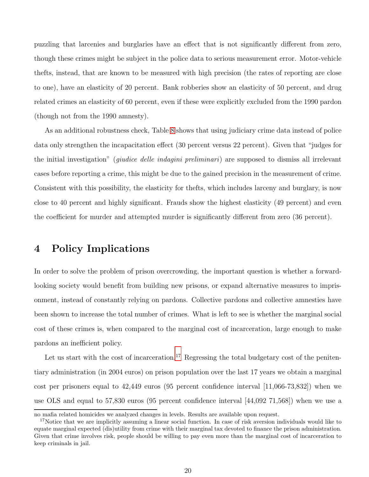<span id="page-20-0"></span>puzzling that larcenies and burglaries have an effect that is not significantly different from zero, though these crimes might be subject in the police data to serious measurement error. Motor-vehicle thefts, instead, that are known to be measured with high precision (the rates of reporting are close to one), have an elasticity of 20 percent. Bank robberies show an elasticity of 50 percent, and drug related crimes an elasticity of 60 percent, even if these were explicitly excluded from the 1990 pardon (though not from the 1990 amnesty).

As an additional robustness check, Table [8](#page-37-0) shows that using judiciary crime data instead of police data only strengthen the incapacitation effect (30 percent versus 22 percent). Given that "judges for the initial investigation" (giudice delle indagini preliminari) are supposed to dismiss all irrelevant cases before reporting a crime, this might be due to the gained precision in the measurement of crime. Consistent with this possibility, the elasticity for thefts, which includes larceny and burglary, is now close to 40 percent and highly significant. Frauds show the highest elasticity (49 percent) and even the coefficient for murder and attempted murder is significantly different from zero (36 percent).

## 4 Policy Implications

In order to solve the problem of prison overcrowding, the important question is whether a forwardlooking society would benefit from building new prisons, or expand alternative measures to imprisonment, instead of constantly relying on pardons. Collective pardons and collective amnesties have been shown to increase the total number of crimes. What is left to see is whether the marginal social cost of these crimes is, when compared to the marginal cost of incarceration, large enough to make pardons an inefficient policy.

Let us start with the cost of incarceration.<sup>17</sup> Regressing the total budgetary cost of the penitentiary administration (in 2004 euros) on prison population over the last 17 years we obtain a marginal cost per prisoners equal to  $42,449$  euros (95 percent confidence interval [11,066-73,832]) when we use OLS and equal to 57,830 euros (95 percent confidence interval [44,092 71,568]) when we use a

no mafia related homicides we analyzed changes in levels. Results are available upon request.

<sup>&</sup>lt;sup>17</sup>Notice that we are implicitly assuming a linear social function. In case of risk aversion individuals would like to equate marginal expected (dis)utility from crime with their marginal tax devoted to finance the prison administration. Given that crime involves risk, people should be willing to pay even more than the marginal cost of incarceration to keep criminals in jail.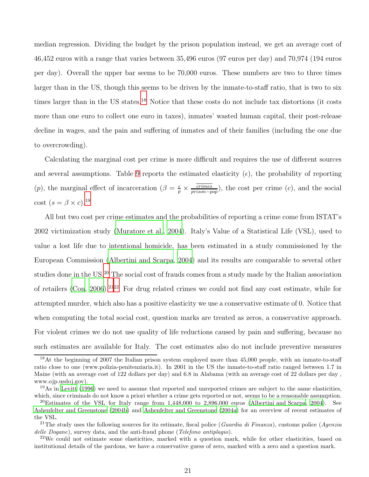median regression. Dividing the budget by the prison population instead, we get an average cost of 46,452 euros with a range that varies between 35,496 euros (97 euros per day) and 70,974 (194 euros per day). Overall the upper bar seems to be 70,000 euros. These numbers are two to three times larger than in the US, though this seems to be driven by the inmate-to-staff ratio, that is two to six times larger than in the US states.<sup>18</sup> Notice that these costs do not include tax distortions (it costs more than one euro to collect one euro in taxes), inmates' wasted human capital, their post-release decline in wages, and the pain and suffering of inmates and of their families (including the one due to overcrowding).

Calculating the marginal cost per crime is more difficult and requires the use of different sources and several assumptions. Table [9](#page-38-0) reports the estimated elasticity  $(\epsilon)$ , the probability of reporting (p), the marginal effect of incarceration ( $\beta = \frac{\epsilon}{n}$  $\frac{\epsilon}{p} \times \frac{c \text{rimes}}{p \text{rison}-p \text{op}}$ , the cost per crime  $(c)$ , and the social cost  $(s = \beta \times c).^{19}$ 

All but two cost per crime estimates and the probabilities of reporting a crime come from ISTAT's 2002 victimization study [\(Muratore et al., 2004\)](#page-26-10). Italy's Value of a Statistical Life (VSL), used to value a lost life due to intentional homicide, has been estimated in a study commissioned by the European Commission [\(Albertini and Scarpa](#page-25-8), [2004\)](#page-25-8) and its results are comparable to several other studies done in the US.<sup>20</sup> The social cost of frauds comes from a study made by the Italian association of retailers [\(Con](#page-25-9), [2006](#page-25-9)).<sup>2122</sup> For drug related crimes we could not find any cost estimate, while for attempted murder, which also has a positive elasticity we use a conservative estimate of 0. Notice that when computing the total social cost, question marks are treated as zeros, a conservative approach. For violent crimes we do not use quality of life reductions caused by pain and suffering, because no such estimates are available for Italy. The cost estimates also do not include preventive measures

<sup>&</sup>lt;sup>18</sup>At the beginning of 2007 the Italian prison system employed more than 45,000 people, with an inmate-to-staff ratio close to one (www.polizia-penitenziaria.it). In 2001 in the US the inmate-to-staff ratio ranged between 1.7 in Maine (with an average cost of 122 dollars per day) and 6.8 in Alabama (with an average cost of 22 dollars per day , www.ojp.usdoj.gov).

 $19\text{As}$  in [Levitt \(1996](#page-26-0)) we need to assume that reported and unreported crimes are subject to the same elasticities, which, since criminals do not know a priori whether a crime gets reported or not, seems to be a reasonable assumption.

<sup>&</sup>lt;sup>20</sup>Estimates of the VSL for Italy range from  $1,448,000$  to  $2,896,000$  euros [\(Albertini and Scarpa](#page-25-8), [2004\)](#page-25-8). See [Ashenfelter and Greenstone \(2004b\)](#page-25-10) and [Ashenfelter and Greenstone \(2004a\)](#page-25-11) for an overview of recent estimates of the VSL.

<sup>&</sup>lt;sup>21</sup>The study uses the following sources for its estimate, fiscal police (Guardia di Finanza), customs police (Agenzia delle Dogane), survey data, and the anti-fraud phone (Telefono antiplagio).

<sup>&</sup>lt;sup>22</sup>We could not estimate some elasticities, marked with a question mark, while for other elasticities, based on institutional details of the pardons, we have a conservative guess of zero, marked with a zero and a question mark.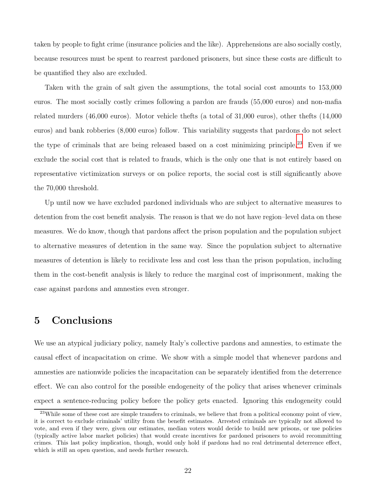taken by people to fight crime (insurance policies and the like). Apprehensions are also socially costly, because resources must be spent to rearrest pardoned prisoners, but since these costs are difficult to be quantified they also are excluded.

Taken with the grain of salt given the assumptions, the total social cost amounts to 153,000 euros. The most socially costly crimes following a pardon are frauds (55,000 euros) and non-mafia related murders (46,000 euros). Motor vehicle thefts (a total of 31,000 euros), other thefts (14,000 euros) and bank robberies (8,000 euros) follow. This variability suggests that pardons do not select the type of criminals that are being released based on a cost minimizing principle.<sup>23</sup> Even if we exclude the social cost that is related to frauds, which is the only one that is not entirely based on representative victimization surveys or on police reports, the social cost is still significantly above the 70,000 threshold.

Up until now we have excluded pardoned individuals who are subject to alternative measures to detention from the cost benefit analysis. The reason is that we do not have region–level data on these measures. We do know, though that pardons affect the prison population and the population subject to alternative measures of detention in the same way. Since the population subject to alternative measures of detention is likely to recidivate less and cost less than the prison population, including them in the cost-benefit analysis is likely to reduce the marginal cost of imprisonment, making the case against pardons and amnesties even stronger.

## 5 Conclusions

We use an atypical judiciary policy, namely Italy's collective pardons and amnesties, to estimate the causal effect of incapacitation on crime. We show with a simple model that whenever pardons and amnesties are nationwide policies the incapacitation can be separately identified from the deterrence effect. We can also control for the possible endogeneity of the policy that arises whenever criminals expect a sentence-reducing policy before the policy gets enacted. Ignoring this endogeneity could

 $^{23}$ While some of these cost are simple transfers to criminals, we believe that from a political economy point of view, it is correct to exclude criminals' utility from the benefit estimates. Arrested criminals are typically not allowed to vote, and even if they were, given our estimates, median voters would decide to build new prisons, or use policies (typically active labor market policies) that would create incentives for pardoned prisoners to avoid recommitting crimes. This last policy implication, though, would only hold if pardons had no real detrimental deterrence effect, which is still an open question, and needs further research.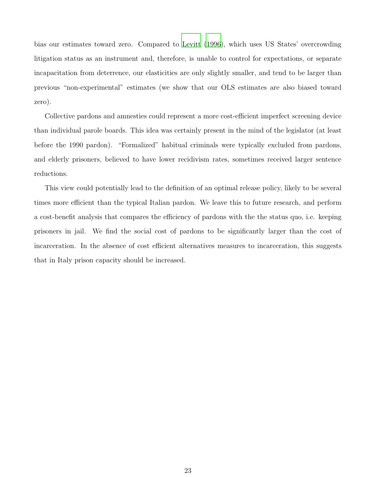bias our estimates toward zero. Compared to [Levitt \(1996](#page-26-0)), which uses US States' overcrowding litigation status as an instrument and, therefore, is unable to control for expectations, or separate incapacitation from deterrence, our elasticities are only slightly smaller, and tend to be larger than previous "non-experimental" estimates (we show that our OLS estimates are also biased toward zero).

Collective pardons and amnesties could represent a more cost-efficient imperfect screening device than individual parole boards. This idea was certainly present in the mind of the legislator (at least before the 1990 pardon). "Formalized" habitual criminals were typically excluded from pardons, and elderly prisoners, believed to have lower recidivism rates, sometimes received larger sentence reductions.

This view could potentially lead to the definition of an optimal release policy, likely to be several times more efficient than the typical Italian pardon. We leave this to future research, and perform a cost-benefit analysis that compares the efficiency of pardons with the the status quo, i.e. keeping prisoners in jail. We find the social cost of pardons to be significantly larger than the cost of incarceration. In the absence of cost efficient alternatives measures to incarceration, this suggests that in Italy prison capacity should be increased.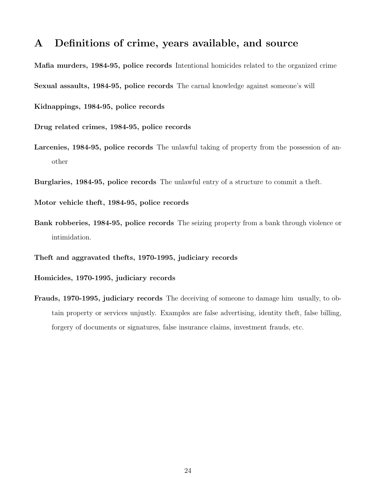## A Definitions of crime, years available, and source

Mafia murders, 1984-95, police records Intentional homicides related to the organized crime

Sexual assaults, 1984-95, police records The carnal knowledge against someone's will

Kidnappings, 1984-95, police records

Drug related crimes, 1984-95, police records

Larcenies, 1984-95, police records The unlawful taking of property from the possession of another

Burglaries, 1984-95, police records The unlawful entry of a structure to commit a theft.

Motor vehicle theft, 1984-95, police records

Bank robberies, 1984-95, police records The seizing property from a bank through violence or intimidation.

Theft and aggravated thefts, 1970-1995, judiciary records

Homicides, 1970-1995, judiciary records

Frauds, 1970-1995, judiciary records The deceiving of someone to damage him usually, to obtain property or services unjustly. Examples are false advertising, identity theft, false billing, forgery of documents or signatures, false insurance claims, investment frauds, etc.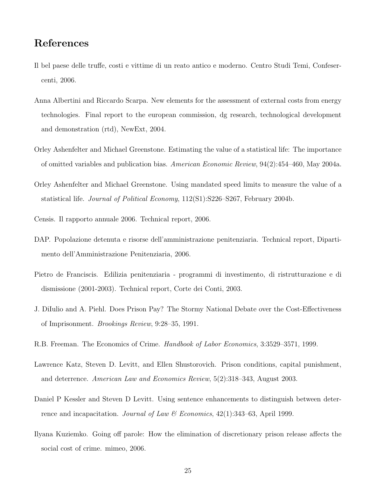### References

- <span id="page-25-9"></span>Il bel paese delle truffe, costi e vittime di un reato antico e moderno. Centro Studi Temi, Confesercenti, 2006.
- <span id="page-25-8"></span>Anna Albertini and Riccardo Scarpa. New elements for the assessment of external costs from energy technologies. Final report to the european commission, dg research, technological development and demonstration (rtd), NewExt, 2004.
- <span id="page-25-11"></span>Orley Ashenfelter and Michael Greenstone. Estimating the value of a statistical life: The importance of omitted variables and publication bias. American Economic Review, 94(2):454–460, May 2004a.
- <span id="page-25-10"></span>Orley Ashenfelter and Michael Greenstone. Using mandated speed limits to measure the value of a statistical life. Journal of Political Economy, 112(S1):S226–S267, February 2004b.
- <span id="page-25-6"></span>Censis. Il rapporto annuale 2006. Technical report, 2006.
- <span id="page-25-0"></span>DAP. Popolazione detenuta e risorse dell'amministrazione penitenziaria. Technical report, Dipartimento dell'Amministrazione Penitenziaria, 2006.
- <span id="page-25-4"></span>Pietro de Franciscis. Edilizia penitenziaria - programmi di investimento, di ristrutturazione e di dismissione (2001-2003). Technical report, Corte dei Conti, 2003.
- <span id="page-25-3"></span>J. DiIulio and A. Piehl. Does Prison Pay? The Stormy National Debate over the Cost-Effectiveness of Imprisonment. Brookings Review, 9:28–35, 1991.
- <span id="page-25-1"></span>R.B. Freeman. The Economics of Crime. Handbook of Labor Economics, 3:3529–3571, 1999.
- <span id="page-25-7"></span>Lawrence Katz, Steven D. Levitt, and Ellen Shustorovich. Prison conditions, capital punishment, and deterrence. American Law and Economics Review, 5(2):318–343, August 2003.
- <span id="page-25-2"></span>Daniel P Kessler and Steven D Levitt. Using sentence enhancements to distinguish between deterrence and incapacitation. Journal of Law & Economics,  $42(1):343-63$ , April 1999.
- <span id="page-25-5"></span>Ilyana Kuziemko. Going off parole: How the elimination of discretionary prison release affects the social cost of crime. mimeo, 2006.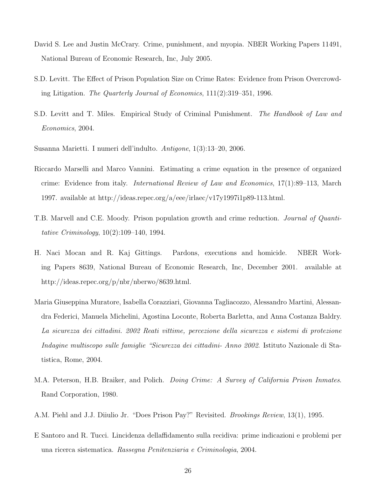- <span id="page-26-3"></span>David S. Lee and Justin McCrary. Crime, punishment, and myopia. NBER Working Papers 11491, National Bureau of Economic Research, Inc, July 2005.
- <span id="page-26-0"></span>S.D. Levitt. The Effect of Prison Population Size on Crime Rates: Evidence from Prison Overcrowding Litigation. The Quarterly Journal of Economics, 111(2):319–351, 1996.
- <span id="page-26-2"></span>S.D. Levitt and T. Miles. Empirical Study of Criminal Punishment. The Handbook of Law and Economics, 2004.

<span id="page-26-7"></span>Susanna Marietti. I numeri dell'indulto. Antigone, 1(3):13–20, 2006.

- <span id="page-26-9"></span>Riccardo Marselli and Marco Vannini. Estimating a crime equation in the presence of organized crime: Evidence from italy. International Review of Law and Economics, 17(1):89–113, March 1997. available at http://ideas.repec.org/a/eee/irlaec/v17y1997i1p89-113.html.
- <span id="page-26-1"></span>T.B. Marvell and C.E. Moody. Prison population growth and crime reduction. Journal of Quantitative Criminology, 10(2):109–140, 1994.
- <span id="page-26-4"></span>H. Naci Mocan and R. Kaj Gittings. Pardons, executions and homicide. NBER Working Papers 8639, National Bureau of Economic Research, Inc, December 2001. available at http://ideas.repec.org/p/nbr/nberwo/8639.html.
- <span id="page-26-10"></span>Maria Giuseppina Muratore, Isabella Corazziari, Giovanna Tagliacozzo, Alessandro Martini, Alessandra Federici, Manuela Michelini, Agostina Loconte, Roberta Barletta, and Anna Costanza Baldry. La sicurezza dei cittadini. 2002 Reati vittime, percezione della sicurezza e sistemi di protezione Indagine multiscopo sulle famiglie "Sicurezza dei cittadini- Anno 2002. Istituto Nazionale di Statistica, Rome, 2004.
- <span id="page-26-5"></span>M.A. Peterson, H.B. Braiker, and Polich. *Doing Crime: A Survey of California Prison Inmates.* Rand Corporation, 1980.
- <span id="page-26-6"></span>A.M. Piehl and J.J. Diiulio Jr. "Does Prison Pay?" Revisited. Brookings Review, 13(1), 1995.
- <span id="page-26-8"></span>E Santoro and R. Tucci. Lincidenza dellaffidamento sulla recidiva: prime indicazioni e problemi per una ricerca sistematica. Rassegna Penitenziaria e Criminologia, 2004.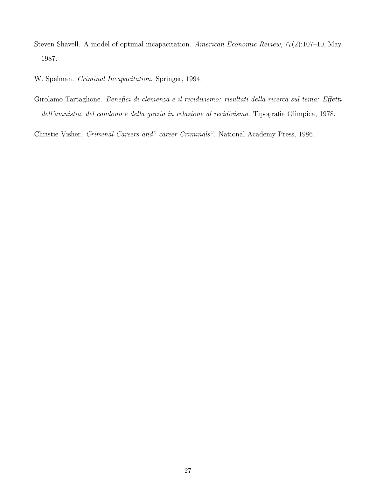<span id="page-27-3"></span>Steven Shavell. A model of optimal incapacitation. American Economic Review, 77(2):107–10, May 1987.

<span id="page-27-0"></span>W. Spelman. Criminal Incapacitation. Springer, 1994.

<span id="page-27-1"></span>Girolamo Tartaglione. Benefici di clemenza e il recidivismo: risultati della ricerca sul tema: Effetti dell'amnistia, del condono e della grazia in relazione al recidivismo. Tipografia Olimpica, 1978.

<span id="page-27-2"></span>Christie Visher. Criminal Careers and" career Criminals". National Academy Press, 1986.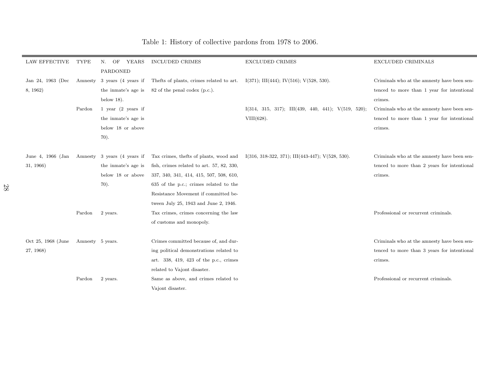| <b>LAW EFFECTIVE</b> | <b>TYPE</b>      | OF<br>N.<br>YEARS             | <b>INCLUDED CRIMES</b>                                       | <b>EXCLUDED CRIMES</b>                                                                            | <b>EXCLUDED CRIMINALS</b>                   |
|----------------------|------------------|-------------------------------|--------------------------------------------------------------|---------------------------------------------------------------------------------------------------|---------------------------------------------|
|                      |                  | PARDONED                      |                                                              |                                                                                                   |                                             |
| Jan 24, 1963 (Dec    | Amnesty          |                               | 3 years (4 years if Thefts of plants, crimes related to art. | $I(371)$ ; III(444); IV(516); V(528, 530).                                                        | Criminals who at the amnesty have been sen- |
| 8, 1962)             |                  |                               | the inmate's age is $82$ of the penal codex (p.c.).          |                                                                                                   | tenced to more than 1 year for intentional  |
|                      |                  | below $18$ ).                 |                                                              |                                                                                                   | crimes.                                     |
|                      | Pardon           | 1 year $(2 \text{ years if})$ |                                                              | $I(314, 315, 317); \quad III(439, 440, 441); \quad V(519, 520);$                                  | Criminals who at the amnesty have been sen- |
|                      |                  | the inmate's age is           |                                                              | $VIII(628)$ .                                                                                     | tenced to more than 1 year for intentional  |
|                      |                  | below 18 or above             |                                                              |                                                                                                   | crimes.                                     |
|                      |                  | 70).                          |                                                              |                                                                                                   |                                             |
|                      |                  |                               |                                                              |                                                                                                   |                                             |
| June 4, 1966 (Jan    |                  | Amnesty 3 years (4 years if   |                                                              | Tax crimes, the fts of plants, wood and $I(316, 318-322, 371)$ ; $III(443-447)$ ; $V(528, 530)$ . | Criminals who at the amnesty have been sen- |
| 31, 1966)            |                  | the inmate's age is           | fish, crimes related to art. 57, 82, 330,                    |                                                                                                   | tenced to more than 2 years for intentional |
|                      |                  | below 18 or above             | 337, 340, 341, 414, 415, 507, 508, 610,                      |                                                                                                   | crimes.                                     |
|                      |                  | 70).                          | 635 of the p.c.; crimes related to the                       |                                                                                                   |                                             |
|                      |                  |                               | Resistance Movement if committed be-                         |                                                                                                   |                                             |
|                      |                  |                               | tween July 25, 1943 and June 2, 1946.                        |                                                                                                   |                                             |
|                      | Pardon           | 2 years.                      | Tax crimes, crimes concerning the law                        |                                                                                                   | Professional or recurrent criminals.        |
|                      |                  |                               | of customs and monopoly.                                     |                                                                                                   |                                             |
|                      |                  |                               |                                                              |                                                                                                   |                                             |
| Oct 25, 1968 (June   | Amnesty 5 years. |                               | Crimes committed because of, and dur-                        |                                                                                                   | Criminals who at the amnesty have been sen- |
| 27, 1968)            |                  |                               | ing political demonstrations related to                      |                                                                                                   | tenced to more than 3 years for intentional |
|                      |                  |                               | art. 338, 419, 423 of the p.c., crimes                       |                                                                                                   | crimes.                                     |
|                      |                  |                               | related to Vajont disaster.                                  |                                                                                                   |                                             |
|                      | Pardon           | 2 years.                      | Same as above, and crimes related to                         |                                                                                                   | Professional or recurrent criminals.        |
|                      |                  |                               | Vajont disaster.                                             |                                                                                                   |                                             |
|                      |                  |                               |                                                              |                                                                                                   |                                             |

## <span id="page-28-0"></span>Table 1: History of collective pardons from <sup>1978</sup> to 2006.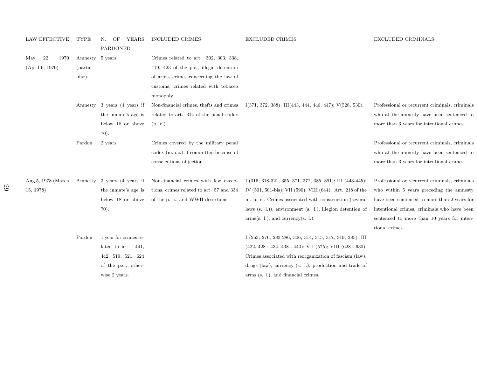| <b>LAW EFFECTIVE</b> | TYPE               | OF<br>YEARS<br>N.           | <b>INCLUDED CRIMES</b>                   | <b>EXCLUDED CRIMES</b>                                             | <b>EXCLUDED CRIMINALS</b>                      |
|----------------------|--------------------|-----------------------------|------------------------------------------|--------------------------------------------------------------------|------------------------------------------------|
|                      |                    | PARDONED                    |                                          |                                                                    |                                                |
| 22,<br>1970<br>May   | Amnesty 5 years.   |                             | Crimes related to art. 302, 303, 338,    |                                                                    |                                                |
| (April 6, 1970)      | (partic-           |                             | 419, 423 of the p.c., illegal detention  |                                                                    |                                                |
|                      | $_{\text{ular}}$ ) |                             | of arms, crimes concerning the law of    |                                                                    |                                                |
|                      |                    |                             | customs, crimes related with tobacco     |                                                                    |                                                |
|                      |                    |                             | monopoly.                                |                                                                    |                                                |
|                      |                    | Amnesty 3 years (4 years if | Non-financial crimes, thefts and crimes  | $I(371, 372, 388)$ ; III(443, 444, 446, 447); V(528, 530).         | Professional or recurrent criminals, criminals |
|                      |                    | the inmate's age is         | related to art. 314 of the penal codex   |                                                                    | who at the amnesty have been sentenced to      |
|                      |                    | below 18 or above           | (p. c.).                                 |                                                                    | more than 3 years for intentional crimes.      |
|                      |                    | 70).                        |                                          |                                                                    |                                                |
|                      | Pardon             | 2 years.                    | Crimes covered by the military penal     |                                                                    | Professional or recurrent criminals, criminals |
|                      |                    |                             | codex (m.p.c.) if committed because of   |                                                                    | who at the amnesty have been sentenced to      |
|                      |                    |                             |                                          |                                                                    |                                                |
|                      |                    |                             | conscientious objection.                 |                                                                    | more than 3 years for intentional crimes.      |
| Aug 5, 1978 (March)  |                    | Amnesty 3 years (4 years if | Non-financial crimes with few excep-     | $I$ (316, 318-321, 355, 371, 372, 385, 391); III (443-445);        | Professional or recurrent criminals, criminals |
| 15, 1978)            |                    | the inmate's age is         | tions, crimes related to art. 57 and 334 | IV (501, 501-bis); VII (590); VIII (644). Art. 218 of the          | who within 5 years preceding the amnesty       |
|                      |                    | below 18 or above           | of the p. c., and WWII desertions.       | m. p. c Crimes associated with construction (several               | have been sentenced to more than 2 years for   |
|                      |                    | 70).                        |                                          | laws $(s, 1)$ , environment $(s, 1)$ , illegion detention of       | intentional crimes, criminals who have been    |
|                      |                    |                             |                                          | arms(s. 1.), and currency(s. 1.).                                  | sentenced to more than 10 years for inten-     |
|                      |                    |                             |                                          |                                                                    | tional crimes.                                 |
|                      | Pardon             | 1 year for crimes re-       |                                          | I (253, 276, 283-286, 306, 314, 315, 317, 319, 385); III           |                                                |
|                      |                    | lated to art. 441,          |                                          | $(422, 428 - 434, 438 - 440)$ ; VII $(575)$ ; VIII $(628 - 630)$ . |                                                |
|                      |                    | 442, 519, 521, 624          |                                          | Crimes associated with reorganization of fascism (law),            |                                                |
|                      |                    | of the p.c.; other-         |                                          | drugs (law), currency (s. l.), production and trade of             |                                                |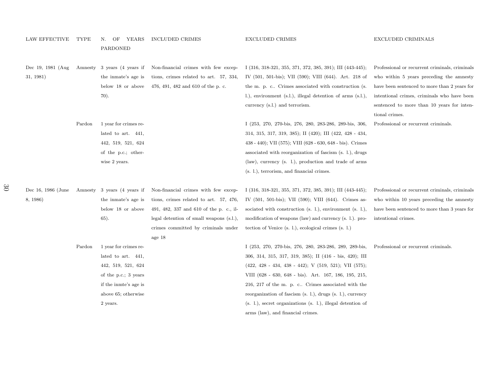| <b>LAW EFFECTIVE</b>            | TYPE   | OF<br>YEARS<br>N.<br><b>PARDONED</b>                                                                                                                  | <b>INCLUDED CRIMES</b>                                                                                                                                                                                                 | <b>EXCLUDED CRIMES</b>                                                                                                                                                                                                                                                                                                                                                                                                           | <b>EXCLUDED CRIMINALS</b>                                                                                                                                                                                                                                 |
|---------------------------------|--------|-------------------------------------------------------------------------------------------------------------------------------------------------------|------------------------------------------------------------------------------------------------------------------------------------------------------------------------------------------------------------------------|----------------------------------------------------------------------------------------------------------------------------------------------------------------------------------------------------------------------------------------------------------------------------------------------------------------------------------------------------------------------------------------------------------------------------------|-----------------------------------------------------------------------------------------------------------------------------------------------------------------------------------------------------------------------------------------------------------|
| Dec 19, 1981 (Aug)<br>31, 1981) |        | Amnesty 3 years (4 years if<br>the inmate's age is<br>below 18 or above<br>70).                                                                       | Non-financial crimes with few excep-<br>tions, crimes related to art. 57, 334,<br>476, 491, 482 and 610 of the p. c.                                                                                                   | I $(316, 318-321, 355, 371, 372, 385, 391)$ ; III $(443-445)$ ;<br>IV (501, 501-bis); VII (590); VIII (644). Art. 218 of<br>the m. p. c Crimes associated with construction (s.<br>l.), environment (s.l.), illegal detention of arms (s.l.),<br>currency (s.l.) and terrorism.                                                                                                                                                  | Professional or recurrent criminals, criminals<br>who within 5 years preceding the amnesty<br>have been sentenced to more than 2 years for<br>intentional crimes, criminals who have been<br>sentenced to more than 10 years for inten-<br>tional crimes. |
|                                 | Pardon | 1 year for crimes re-<br>lated to art. 441.<br>442, 519, 521, 624<br>of the p.c.; other-<br>wise 2 years.                                             |                                                                                                                                                                                                                        | I (253, 270, 270-bis, 276, 280, 283-286, 289-bis, 306,<br>314, 315, 317, 319, 385); II (420); III (422, 428 - 434,<br>$438 - 440$ ; VII $(575)$ ; VIII $(628 - 630, 648 - bis)$ . Crimes<br>associated with reorganization of fascism (s. 1.), drugs<br>(law), currency (s. 1.), production and trade of arms<br>(s. l.), terrorism, and financial crimes.                                                                       | Professional or recurrent criminals.                                                                                                                                                                                                                      |
| Dec 16, 1986 (June<br>8, 1986)  |        | Amnesty 3 years (4 years if<br>the inmate's age is<br>below 18 or above<br>65).                                                                       | Non-financial crimes with few excep-<br>tions, crimes related to art. 57, 476,<br>491, 482, 337 and 610 of the p. c., il-<br>legal detention of small weapons (s.l.),<br>crimes committed by criminals under<br>age 18 | I $(316, 318-321, 355, 371, 372, 385, 391)$ ; III $(443-445)$ ;<br>IV $(501, 501-bis)$ ; VII $(590)$ ; VIII $(644)$ . Crimes as-<br>sociated with construction $(s, 1)$ , environment $(s, 1)$ ,<br>modification of weapons (law) and currency (s. l.). pro-<br>tection of Venice (s. l.), ecological crimes (s. l.)                                                                                                             | Professional or recurrent criminals, criminals<br>who within 10 years preceding the amnesty<br>have been sentenced to more than 3 years for<br>intentional crimes.                                                                                        |
|                                 | Pardon | 1 year for crimes re-<br>lated to art. 441.<br>442, 519, 521, 624<br>of the p.c.; 3 years<br>if the inmte's age is<br>above 65; otherwise<br>2 years. |                                                                                                                                                                                                                        | I (253, 270, 270-bis, 276, 280, 283-286, 289, 289-bis,<br>306, 314, 315, 317, 319, 385); II (416 - bis, 420); III<br>$(422, 428 - 434, 438 - 442);$ V $(519, 521);$ VII $(575);$<br>VIII (628 - 630, 648 - bis). Art. 167, 186, 195, 215,<br>216, 217 of the m. p. c Crimes associated with the<br>reorganization of fascism (s. l.), drugs (s. l.), currency<br>$(s, 1)$ , secret organizations $(s, 1)$ , illegal detention of | Professional or recurrent criminals.                                                                                                                                                                                                                      |

arms (law), and financial crimes.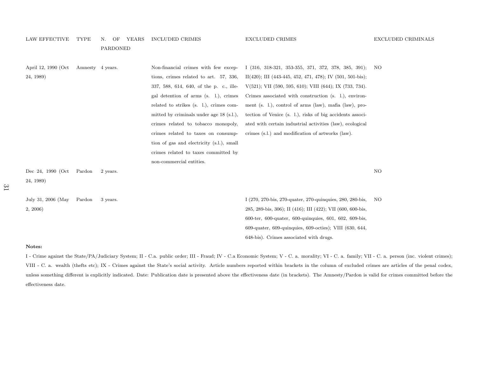#### LAW EFFECTIVE TYPE N. OF YEARS INCLUDED CRIMES

PARDONED

| April 12, 1990 (Oct | Amnesty 4 years. |          | Non-financial crimes with few excep-       | $I$ (316, 318-321, 353-355, 371, 372, 378, 385, 391);                   | NO  |
|---------------------|------------------|----------|--------------------------------------------|-------------------------------------------------------------------------|-----|
| 24, 1989)           |                  |          | tions, crimes related to art. 57, 336,     | $II(420)$ ; III (443-445, 452, 471, 478); IV (501, 501-bis);            |     |
|                     |                  |          | 337, 588, 614, 640, of the p. c., ille-    | $V(521)$ ; VII (590, 595, 610); VIII (644); IX (733, 734).              |     |
|                     |                  |          | gal detention of arms (s. l.), crimes      | Crimes associated with construction (s. 1.), environ-                   |     |
|                     |                  |          | related to strikes (s. 1.), crimes com-    | ment (s. l.), control of arms (law), mafia (law), pro-                  |     |
|                     |                  |          | mitted by criminals under age $18$ (s.l.), | tection of Venice (s. 1.), risks of big accidents associ-               |     |
|                     |                  |          | crimes related to tobacco monopoly,        | ated with certain industrial activities (law), ecological               |     |
|                     |                  |          | crimes related to taxes on consump-        | crimes (s.l.) and modification of artworks (law).                       |     |
|                     |                  |          | tion of gas and electricity (s.l.), small  |                                                                         |     |
|                     |                  |          | crimes related to taxes committed by       |                                                                         |     |
|                     |                  |          | non-commercial entities.                   |                                                                         |     |
| Dec 24, 1990 (Oct   | Pardon           | 2 years. |                                            |                                                                         | NO. |
| 24, 1989)           |                  |          |                                            |                                                                         |     |
|                     |                  |          |                                            |                                                                         |     |
| July 31, 2006 (May  | Pardon           | 3 years. |                                            | I (270, 270-bis, 270-quater, 270-quinquies, 280, 280-bis,               | NO. |
| 2, 2006             |                  |          |                                            | 285, 289-bis, 306); II (416); III (422); VII (600, 600-bis,             |     |
|                     |                  |          |                                            | 600-ter, 600-quater, 600-quinquies, 601, 602, 609-bis,                  |     |
|                     |                  |          |                                            | $609$ -quater, $609$ -quinquies, $609$ -octies); VIII $(630, 644, 609)$ |     |
|                     |                  |          |                                            | 648-bis). Crimes associated with drugs.                                 |     |

#### Notes:

I - Crime against the State/PA/Judiciary System; II - C.a. public order; III - Fraud; IV - C.a Economic System; V - C.a. morality; VI - C.a. family; VII - C.a. person (inc. violent crimes); VIII - C. a. wealth (thefts etc); IX - Crimes against the State's social activity. Article numbers reported within brackets in the column of excluded crimes are articles of the penal codex, unless something different is explicitly indicated. Date: Publication date is presented above the effectiveness date (in brackets). The Amnesty/Pardon is valid for crimes committed before theeffectiveness date.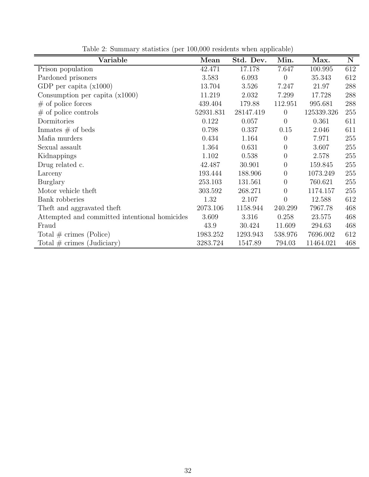| Variable                                      | Mean      | Std. Dev. | Min.             | Max.       | ${\bf N}$ |
|-----------------------------------------------|-----------|-----------|------------------|------------|-----------|
| Prison population                             | 42.471    | 17.178    | 7.647            | 100.995    | 612       |
| Pardoned prisoners                            | 3.583     | 6.093     | $\theta$         | 35.343     | 612       |
| GDP per capita $(x1000)$                      | 13.704    | 3.526     | 7.247            | 21.97      | 288       |
| Consumption per capita $(x1000)$              | 11.219    | 2.032     | 7.299            | 17.728     | 288       |
| $#$ of police forces                          | 439.404   | 179.88    | 112.951          | 995.681    | 288       |
| $#$ of police controls                        | 52931.831 | 28147.419 | $\overline{0}$   | 125339.326 | 255       |
| Dormitories                                   | 0.122     | 0.057     | $\overline{0}$   | 0.361      | 611       |
| Inmates $\#$ of beds                          | 0.798     | 0.337     | 0.15             | 2.046      | 611       |
| Mafia murders                                 | 0.434     | 1.164     | $\theta$         | 7.971      | 255       |
| Sexual assault                                | 1.364     | 0.631     | 0                | 3.607      | 255       |
| Kidnappings                                   | 1.102     | 0.538     | $\theta$         | 2.578      | 255       |
| Drug related c.                               | 42.487    | 30.901    | $\boldsymbol{0}$ | 159.845    | 255       |
| Larceny                                       | 193.444   | 188.906   | $\boldsymbol{0}$ | 1073.249   | 255       |
| Burglary                                      | 253.103   | 131.561   | $\overline{0}$   | 760.621    | 255       |
| Motor vehicle theft                           | 303.592   | 268.271   | $\theta$         | 1174.157   | 255       |
| Bank robberies                                | 1.32      | 2.107     | $\overline{0}$   | 12.588     | 612       |
| Theft and aggravated theft                    | 2073.106  | 1158.944  | 240.299          | 7967.78    | 468       |
| Attempted and committed intentional homicides | 3.609     | 3.316     | 0.258            | 23.575     | 468       |
| Fraud                                         | 43.9      | 30.424    | 11.609           | 294.63     | 468       |
| Total $\#$ crimes (Police)                    | 1983.252  | 1293.943  | 538.976          | 7696.002   | 612       |
| Total $\#$ crimes (Judiciary)                 | 3283.724  | 1547.89   | 794.03           | 11464.021  | 468       |

<span id="page-32-0"></span>Table 2: Summary statistics (per 100,000 residents when applicable)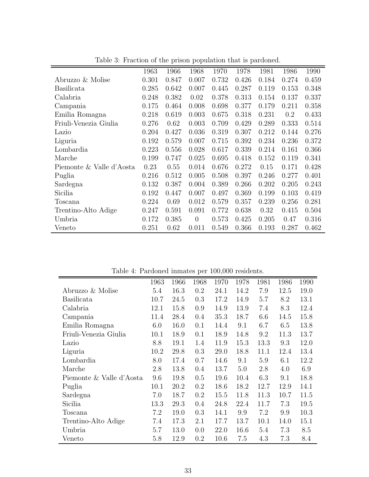|                          |       |       | $\mathbf{r} - \mathbf{r}$ |       |       |       |       |       |
|--------------------------|-------|-------|---------------------------|-------|-------|-------|-------|-------|
|                          | 1963  | 1966  | 1968                      | 1970  | 1978  | 1981  | 1986  | 1990  |
| Abruzzo & Molise         | 0.301 | 0.847 | 0.007                     | 0.732 | 0.426 | 0.184 | 0.274 | 0.459 |
| <b>Basilicata</b>        | 0.285 | 0.642 | 0.007                     | 0.445 | 0.287 | 0.119 | 0.153 | 0.348 |
| Calabria                 | 0.248 | 0.382 | 0.02                      | 0.378 | 0.313 | 0.154 | 0.137 | 0.337 |
| Campania                 | 0.175 | 0.464 | 0.008                     | 0.698 | 0.377 | 0.179 | 0.211 | 0.358 |
| Emilia Romagna           | 0.218 | 0.619 | 0.003                     | 0.675 | 0.318 | 0.231 | 0.2   | 0.433 |
| Friuli-Venezia Giulia    | 0.276 | 0.62  | 0.003                     | 0.709 | 0.429 | 0.289 | 0.333 | 0.514 |
| Lazio                    | 0.204 | 0.427 | 0.036                     | 0.319 | 0.307 | 0.212 | 0.144 | 0.276 |
| Liguria                  | 0.192 | 0.579 | 0.007                     | 0.715 | 0.392 | 0.234 | 0.236 | 0.372 |
| Lombardia                | 0.223 | 0.556 | 0.028                     | 0.617 | 0.339 | 0.214 | 0.161 | 0.366 |
| Marche                   | 0.199 | 0.747 | 0.025                     | 0.695 | 0.418 | 0.152 | 0.119 | 0.341 |
| Piemonte & Valle d'Aosta | 0.23  | 0.55  | 0.014                     | 0.676 | 0.272 | 0.15  | 0.171 | 0.428 |
| Puglia                   | 0.216 | 0.512 | 0.005                     | 0.508 | 0.397 | 0.246 | 0.277 | 0.401 |
| Sardegna                 | 0.132 | 0.387 | 0.004                     | 0.389 | 0.266 | 0.202 | 0.205 | 0.243 |
| Sicilia                  | 0.192 | 0.447 | 0.007                     | 0.497 | 0.369 | 0.199 | 0.103 | 0.419 |
| Toscana                  | 0.224 | 0.69  | 0.012                     | 0.579 | 0.357 | 0.239 | 0.256 | 0.281 |
| Trentino-Alto Adige      | 0.247 | 0.591 | 0.091                     | 0.772 | 0.638 | 0.32  | 0.415 | 0.504 |
| Umbria                   | 0.172 | 0.385 | $\theta$                  | 0.573 | 0.425 | 0.205 | 0.47  | 0.316 |
| Veneto                   | 0.251 | 0.62  | 0.011                     | 0.549 | 0.366 | 0.193 | 0.287 | 0.462 |

<span id="page-33-0"></span>Table 3: Fraction of the prison population that is pardoned.

<span id="page-33-1"></span>Table 4: Pardoned inmates per 100,000 residents.

|                          | 1963 | 1966 | 1968    | 1970 | 1978 | 1981 | 1986 | 1990 |
|--------------------------|------|------|---------|------|------|------|------|------|
| Abruzzo & Molise         | 5.4  | 16.3 | 0.2     | 24.1 | 14.2 | 7.9  | 12.5 | 19.0 |
| <b>Basilicata</b>        | 10.7 | 24.5 | 0.3     | 17.2 | 14.9 | 5.7  | 8.2  | 13.1 |
| Calabria                 | 12.1 | 15.8 | 0.9     | 14.9 | 13.9 | 7.4  | 8.3  | 12.4 |
| Campania                 | 11.4 | 28.4 | $0.4\,$ | 35.3 | 18.7 | 6.6  | 14.5 | 15.8 |
| Emilia Romagna           | 6.0  | 16.0 | 0.1     | 14.4 | 9.1  | 6.7  | 6.5  | 13.8 |
| Friuli-Venezia Giulia    | 10.1 | 18.9 | 0.1     | 18.9 | 14.8 | 9.2  | 11.3 | 13.7 |
| Lazio                    | 8.8  | 19.1 | 1.4     | 11.9 | 15.3 | 13.3 | 9.3  | 12.0 |
| Liguria                  | 10.2 | 29.8 | 0.3     | 29.0 | 18.8 | 11.1 | 12.4 | 13.4 |
| Lombardia                | 8.0  | 17.4 | 0.7     | 14.6 | 9.1  | 5.9  | 6.1  | 12.2 |
| Marche                   | 2.8  | 13.8 | 0.4     | 13.7 | 5.0  | 2.8  | 4.0  | 6.9  |
| Piemonte & Valle d'Aosta | 9.6  | 19.8 | $0.5\,$ | 19.6 | 10.4 | 6.3  | 9.1  | 18.8 |
| Puglia                   | 10.1 | 20.2 | $0.2\,$ | 18.6 | 18.2 | 12.7 | 12.9 | 14.1 |
| Sardegna                 | 7.0  | 18.7 | 0.2     | 15.5 | 11.8 | 11.3 | 10.7 | 11.5 |
| Sicilia                  | 13.3 | 29.3 | $0.4\,$ | 24.8 | 22.4 | 11.7 | 7.3  | 19.5 |
| Toscana                  | 7.2  | 19.0 | 0.3     | 14.1 | 9.9  | 7.2  | 9.9  | 10.3 |
| Trentino-Alto Adige      | 7.4  | 17.3 | 2.1     | 17.7 | 13.7 | 10.1 | 14.0 | 15.1 |
| Umbria                   | 5.7  | 13.0 | 0.0     | 22.0 | 16.6 | 5.4  | 7.3  | 8.5  |
| Veneto                   | 5.8  | 12.9 | 0.2     | 10.6 | 7.5  | 4.3  | 7.3  | 8.4  |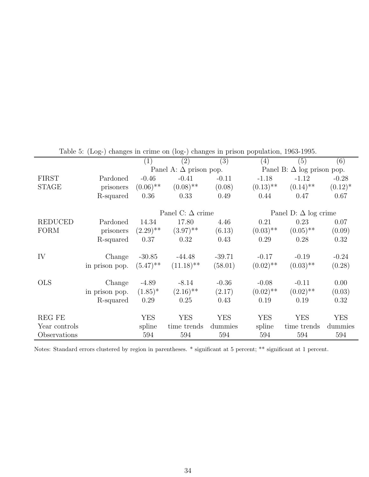|                |                | $\left(1\right)$ | (2)                           | (3)        | (4)         | (5)                               | (6)        |
|----------------|----------------|------------------|-------------------------------|------------|-------------|-----------------------------------|------------|
|                |                |                  | Panel A: $\Delta$ prison pop. |            |             | Panel B: $\Delta$ log prison pop. |            |
| <b>FIRST</b>   | Pardoned       | $-0.46$          | $-0.41$                       | $-0.11$    | $-1.18$     | $-1.12$                           | $-0.28$    |
| <b>STAGE</b>   | prisoners      | $(0.06)$ **      | $(0.08)$ **                   | (0.08)     | $(0.13)$ ** | $(0.14)$ **                       | $(0.12)^*$ |
|                | R-squared      | 0.36             | 0.33                          | 0.49       | 0.44        | 0.47                              | 0.67       |
|                |                |                  |                               |            |             |                                   |            |
|                |                |                  | Panel C: $\Delta$ crime       |            |             | Panel D: $\Delta$ log crime       |            |
| <b>REDUCED</b> | Pardoned       | 14.34            | 17.80                         | 4.46       | 0.21        | 0.23                              | 0.07       |
| <b>FORM</b>    | prisoners      | $(2.29)$ **      | $(3.97)$ **                   | (6.13)     | $(0.03)$ ** | $(0.05)$ **                       | (0.09)     |
|                | R-squared      | 0.37             | 0.32                          | 0.43       | 0.29        | 0.28                              | 0.32       |
|                |                |                  |                               |            |             |                                   |            |
| IV             | Change         | $-30.85$         | $-44.48$                      | $-39.71$   | $-0.17$     | $-0.19$                           | $-0.24$    |
|                | in prison pop. | $(5.47)$ **      | $(11.18)$ <sup>**</sup>       | (58.01)    | $(0.02)$ ** | $(0.03)$ **                       | (0.28)     |
| <b>OLS</b>     | Change         | $-4.89$          | $-8.14$                       | $-0.36$    | $-0.08$     | $-0.11$                           | 0.00       |
|                |                |                  |                               |            |             |                                   |            |
|                | in prison pop. | $(1.85)^*$       | $(2.16)$ **                   | (2.17)     | $(0.02)$ ** | $(0.02)$ **                       | (0.03)     |
|                | R-squared      | 0.29             | 0.25                          | 0.43       | 0.19        | 0.19                              | 0.32       |
| REG FE         |                | YES              | <b>YES</b>                    | <b>YES</b> | <b>YES</b>  | <b>YES</b>                        | <b>YES</b> |
| Year controls  |                | spline           | time trends                   | dummies    | spline      | time trends                       | dummies    |
| Observations   |                | 594              | 594                           | 594        | 594         | 594                               | 594        |
|                |                |                  |                               |            |             |                                   |            |

<span id="page-34-0"></span>Table 5: (Log-) changes in crime on (log-) changes in prison population, 1963-1995.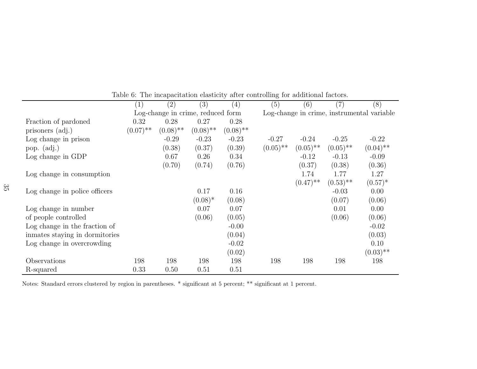|                                 | (1)         | $\left( 2\right)$                 | (3)         | (4)         | (5)                                        | (6)                    | (7)         | (8)         |  |
|---------------------------------|-------------|-----------------------------------|-------------|-------------|--------------------------------------------|------------------------|-------------|-------------|--|
|                                 |             | Log-change in crime, reduced form |             |             | Log-change in crime, instrumental variable |                        |             |             |  |
| Fraction of pardoned            | 0.32        | 0.28                              | 0.27        | 0.28        |                                            |                        |             |             |  |
| prisoners (adj.)                | $(0.07)$ ** | $(0.08)$ **                       | $(0.08)$ ** | $(0.08)$ ** |                                            |                        |             |             |  |
| Log change in prison            |             | $-0.29$                           | $-0.23$     | $-0.23$     | $-0.27$                                    | $-0.24$                | $-0.25$     | $-0.22$     |  |
| pop. $(\text{adj.})$            |             | (0.38)                            | (0.37)      | (0.39)      | $(0.05)$ <sup>**</sup>                     | $(0.05)$ <sup>**</sup> | $(0.05)$ ** | $(0.04)$ ** |  |
| Log change in GDP               |             | 0.67                              | 0.26        | 0.34        |                                            | $-0.12$                | $-0.13$     | $-0.09$     |  |
|                                 |             | (0.70)                            | (0.74)      | (0.76)      |                                            | (0.37)                 | (0.38)      | (0.36)      |  |
| Log change in consumption       |             |                                   |             |             |                                            | 1.74                   | 1.77        | 1.27        |  |
|                                 |             |                                   |             |             |                                            | $(0.47)$ **            | $(0.53)$ ** | $(0.57)^*$  |  |
| Log change in police officers   |             |                                   | 0.17        | 0.16        |                                            |                        | $-0.03$     | 0.00        |  |
|                                 |             |                                   | $(0.08)^*$  | (0.08)      |                                            |                        | (0.07)      | (0.06)      |  |
| Log change in number            |             |                                   | 0.07        | 0.07        |                                            |                        | 0.01        | 0.00        |  |
| of people controlled            |             |                                   | (0.06)      | (0.05)      |                                            |                        | (0.06)      | (0.06)      |  |
| Log change in the fraction of   |             |                                   |             | $-0.00$     |                                            |                        |             | $-0.02$     |  |
| in mates staying in dormitories |             |                                   |             | (0.04)      |                                            |                        |             | (0.03)      |  |
| Log change in overcrowding      |             |                                   |             | $-0.02$     |                                            |                        |             | 0.10        |  |
|                                 |             |                                   |             | (0.02)      |                                            |                        |             | $(0.03)$ ** |  |
| Observations                    | 198         | 198                               | 198         | 198         | 198                                        | 198                    | 198         | 198         |  |
| R-squared                       | 0.33        | 0.50                              | 0.51        | 0.51        |                                            |                        |             |             |  |

Table 6: The incapacitation elasticity after controlling for additional factors.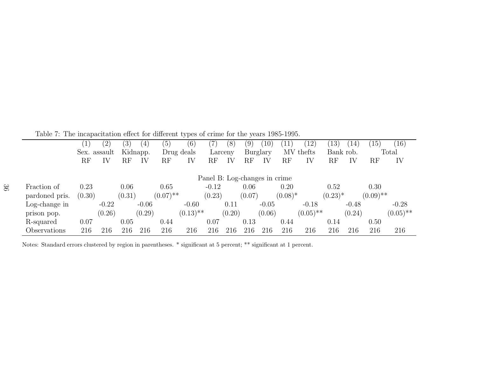<span id="page-36-0"></span>Table 7: The incapacitation effect for different types of crime for the years 1985-1995.

|                |        | $\left( 2\right)$ | 3)                  | 4 <sub>1</sub> | $\overline{5}$         | <u>v +</u><br>$\left(6\right)$ |          | (8)     | $9^{\circ}$ | 10                            |            | 12                     | 13)        |         | 15)         | (16)        |
|----------------|--------|-------------------|---------------------|----------------|------------------------|--------------------------------|----------|---------|-------------|-------------------------------|------------|------------------------|------------|---------|-------------|-------------|
|                |        | Sex. assault      |                     | Kidnapp.       |                        | Drug deals                     |          | Larceny |             | Burglary                      |            | MV thefts              | Bank rob.  |         |             | Total       |
|                | RF     | IV                | $\operatorname{RF}$ | IV             | $\operatorname{RF}$    | IV                             | $\rm RF$ | IV      | $_{\rm RF}$ | IV                            | RF         | IV                     | RF         | IV      | $_{\rm RF}$ | IV          |
|                |        |                   |                     |                |                        |                                |          |         |             |                               |            |                        |            |         |             |             |
|                |        |                   |                     |                |                        |                                |          |         |             | Panel B: Log-changes in crime |            |                        |            |         |             |             |
| Fraction of    | 0.23   |                   | 0.06                |                | 0.65                   |                                | $-0.12$  |         | 0.06        |                               | 0.20       |                        | 0.52       |         | 0.30        |             |
| pardoned pris. | (0.30) |                   | (0.31)              |                | $(0.07)$ <sup>**</sup> |                                | (0.23)   |         | (0.07)      |                               | $(0.08)^*$ |                        | $(0.23)^*$ |         | $(0.09)$ ** |             |
| Log-change in  |        | $-0.22$           |                     | $-0.06$        |                        | $-0.60$                        |          | 0.11    |             | $-0.05$                       |            | $-0.18$                |            | $-0.48$ |             | $-0.28$     |
| prison pop.    |        | (0.26)            |                     | (0.29)         |                        | $(0.13)$ **                    |          | (0.20)  |             | (0.06)                        |            | $(0.05)$ <sup>**</sup> |            | (0.24)  |             | $(0.05)$ ** |
| R-squared      | 0.07   |                   | 0.05                |                | 0.44                   |                                | 0.07     |         | 0.13        |                               | 0.44       |                        | 0.14       |         | 0.50        |             |
| Observations   | 216    | 216               | 216                 | 216            | 216                    | 216                            | 216      | 216     | 216         | 216                           | 216        | 216                    | 216        | 216     | 216         | 216         |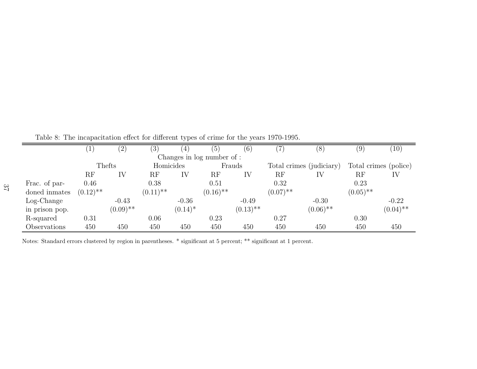<span id="page-37-0"></span>Table 8: The incapacitation effect for different types of crime for the years 1970-1995.

|                |             | $\binom{2}{}$ | (3)                    | 4 <sub>1</sub> | (5)                        | (6)         |             | (8)                      | (9)         | (10)                  |
|----------------|-------------|---------------|------------------------|----------------|----------------------------|-------------|-------------|--------------------------|-------------|-----------------------|
|                |             |               |                        |                | Changes in log number of : |             |             |                          |             |                       |
|                |             | Thefts        | Homicides              |                |                            | Frauds      |             | Total crimes (judiciary) |             | Total crimes (police) |
|                | RF          | IV            | $\operatorname{RF}$    | IV             | RF                         | IV          | RF          | IV                       | RF          | IV                    |
| Frac. of par-  | 0.46        |               | 0.38                   |                | 0.51                       |             | 0.32        |                          | 0.23        |                       |
| doned inmates  | $(0.12)$ ** |               | $(0.11)$ <sup>**</sup> |                | $(0.16)$ **                |             | $(0.07)$ ** |                          | $(0.05)$ ** |                       |
| $Log-Change$   |             | $-0.43$       |                        | $-0.36$        |                            | $-0.49$     |             | $-0.30$                  |             | $-0.22$               |
| in prison pop. |             | $(0.09)$ **   |                        | $(0.14)^*$     |                            | $(0.13)$ ** |             | $(0.06)$ **              |             | $(0.04)$ **           |
| R-squared      | 0.31        |               | 0.06                   |                | 0.23                       |             | 0.27        |                          | 0.30        |                       |
| Observations   | 450         | 450           | 450                    | 450            | 450                        | 450         | 450         | 450                      | 450         | 450                   |